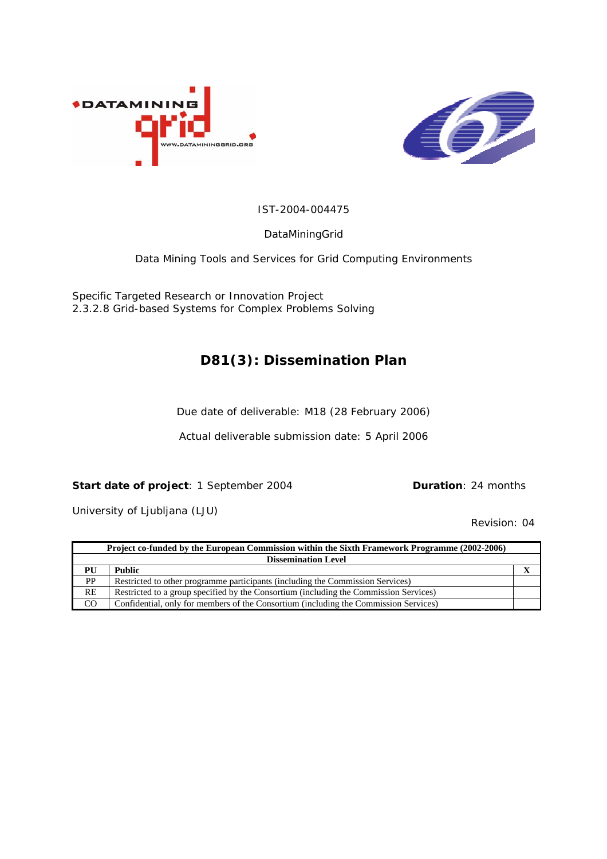



#### IST-2004-004475

DataMiningGrid

Data Mining Tools and Services for Grid Computing Environments

Specific Targeted Research or Innovation Project 2.3.2.8 Grid-based Systems for Complex Problems Solving

## **D81(3): Dissemination Plan**

Due date of deliverable: M18 (28 February 2006)

Actual deliverable submission date: 5 April 2006

#### **Start date of project**: 1 September 2004 **Duration**: 24 months

University of Ljubljana (LJU)

Revision: 04

|                            | Project co-funded by the European Commission within the Sixth Framework Programme (2002-2006) |  |  |  |  |
|----------------------------|-----------------------------------------------------------------------------------------------|--|--|--|--|
| <b>Dissemination Level</b> |                                                                                               |  |  |  |  |
| PU                         | <b>Public</b>                                                                                 |  |  |  |  |
| <b>PP</b>                  | Restricted to other programme participants (including the Commission Services)                |  |  |  |  |
| RE                         | Restricted to a group specified by the Consortium (including the Commission Services)         |  |  |  |  |
| CO                         | Confidential, only for members of the Consortium (including the Commission Services)          |  |  |  |  |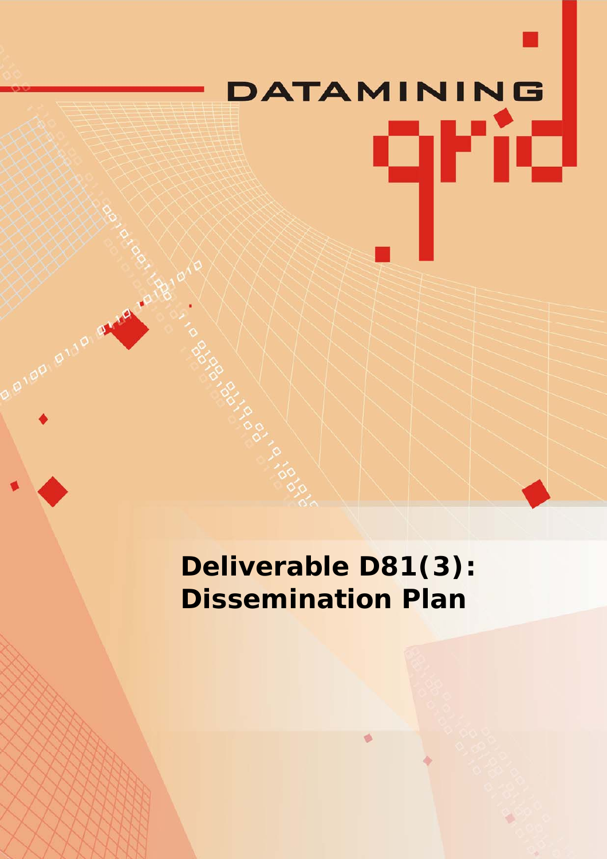# DATAMINING qrid

**Deliverable D81(3): Dissemination Plan**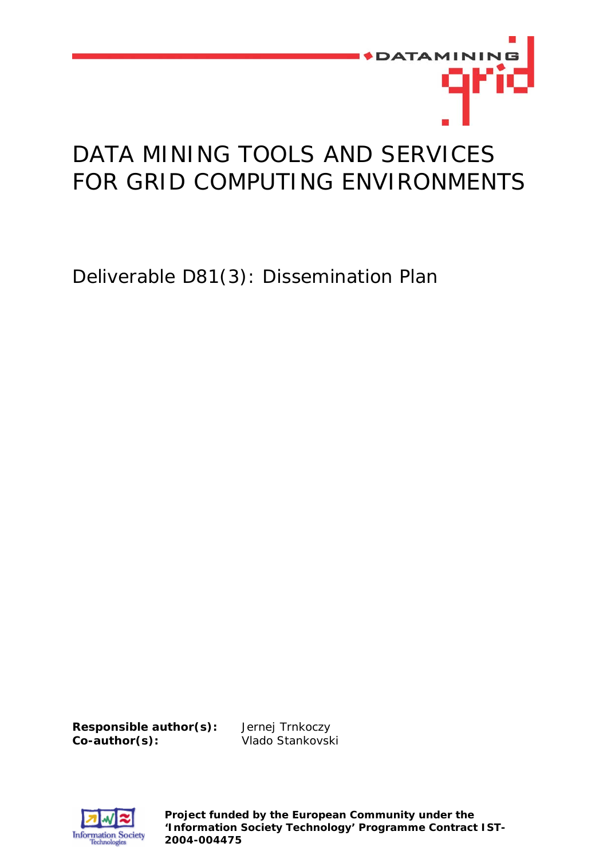

# DATA MINING TOOLS AND SERVICES FOR GRID COMPUTING ENVIRONMENTS

Deliverable D81(3): Dissemination Plan

**Responsible author(s):** Jernej Trnkoczy **Co-author(s):** Vlado Stankovski



**Project funded by the European Community under the 'Information Society Technology' Programme Contract IST-2004-004475**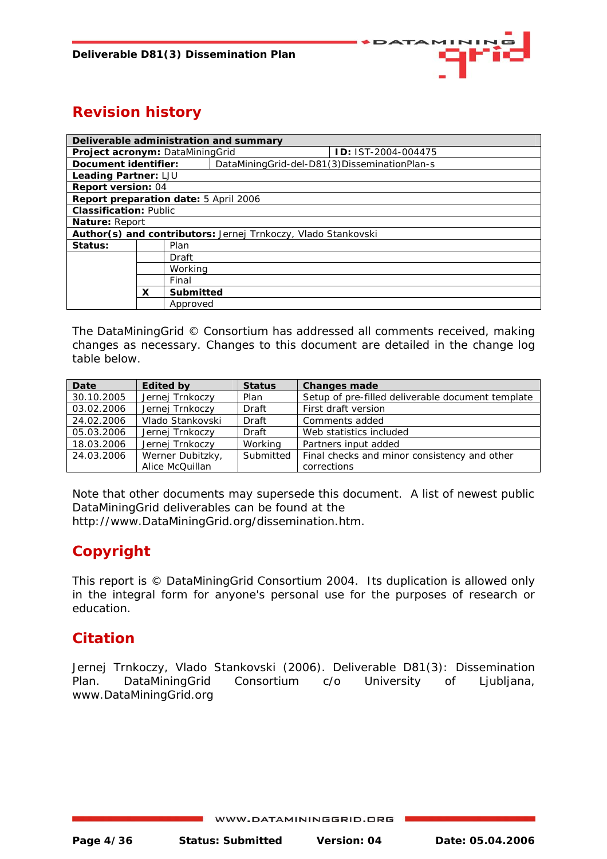

## **Revision history**

| Deliverable administration and summary       |         |           |                                                               |                           |  |  |
|----------------------------------------------|---------|-----------|---------------------------------------------------------------|---------------------------|--|--|
| Project acronym: DataMiningGrid              |         |           |                                                               | <b>D: IST-2004-004475</b> |  |  |
| Document identifier:                         |         |           | DataMiningGrid-del-D81(3)DisseminationPlan-s                  |                           |  |  |
| Leading Partner: LJU                         |         |           |                                                               |                           |  |  |
| <b>Report version: 04</b>                    |         |           |                                                               |                           |  |  |
| <b>Report preparation date: 5 April 2006</b> |         |           |                                                               |                           |  |  |
| <b>Classification: Public</b>                |         |           |                                                               |                           |  |  |
| Nature: Report                               |         |           |                                                               |                           |  |  |
|                                              |         |           | Author(s) and contributors: Jernej Trnkoczy, Vlado Stankovski |                           |  |  |
| Status:                                      |         | Plan      |                                                               |                           |  |  |
|                                              |         | Draft     |                                                               |                           |  |  |
|                                              | Working |           |                                                               |                           |  |  |
|                                              | Final   |           |                                                               |                           |  |  |
|                                              | x       | Submitted |                                                               |                           |  |  |
|                                              |         | Approved  |                                                               |                           |  |  |

The DataMiningGrid © Consortium has addressed all comments received, making changes as necessary. Changes to this document are detailed in the change log table below.

| Date       | <b>Edited by</b> | <b>Status</b> | <b>Changes made</b>                               |
|------------|------------------|---------------|---------------------------------------------------|
| 30.10.2005 | Jernej Trnkoczy  | Plan          | Setup of pre-filled deliverable document template |
| 03.02.2006 | Jernej Trnkoczy  | Draft         | First draft version                               |
| 24.02.2006 | Vlado Stankovski | Draft         | Comments added                                    |
| 05.03.2006 | Jernej Trnkoczy  | Draft         | Web statistics included                           |
| 18.03.2006 | Jernej Trnkoczy  | Working       | Partners input added                              |
| 24.03.2006 | Werner Dubitzky, | Submitted     | Final checks and minor consistency and other      |
|            | Alice McQuillan  |               | corrections                                       |

Note that other documents may supersede this document. A list of newest public DataMiningGrid deliverables can be found at the

http://www.DataMiningGrid.org/dissemination.htm.

## **Copyright**

This report is © DataMiningGrid Consortium 2004. Its duplication is allowed only in the integral form for anyone's personal use for the purposes of research or education.

## **Citation**

Jernej Trnkoczy, Vlado Stankovski (2006). Deliverable D81(3): Dissemination Plan. DataMiningGrid Consortium c/o University of Ljubljana, [www.DataMiningGrid.org](http://www.datamininggrid.org/)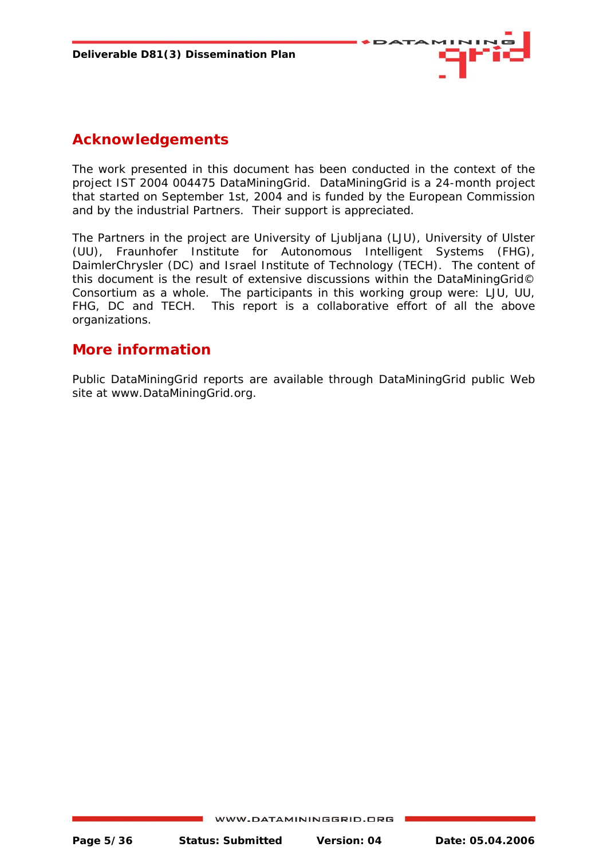

## **Acknowledgements**

The work presented in this document has been conducted in the context of the project IST 2004 004475 DataMiningGrid. DataMiningGrid is a 24-month project that started on September 1st, 2004 and is funded by the European Commission and by the industrial Partners. Their support is appreciated.

The Partners in the project are University of Ljubljana (LJU), University of Ulster (UU), Fraunhofer Institute for Autonomous Intelligent Systems (FHG), DaimlerChrysler (DC) and Israel Institute of Technology (TECH). The content of this document is the result of extensive discussions within the DataMiningGrid© Consortium as a whole. The participants in this working group were: LJU, UU, FHG, DC and TECH. This report is a collaborative effort of all the above organizations.

## **More information**

Public DataMiningGrid reports are available through DataMiningGrid public Web site at www.DataMiningGrid.org.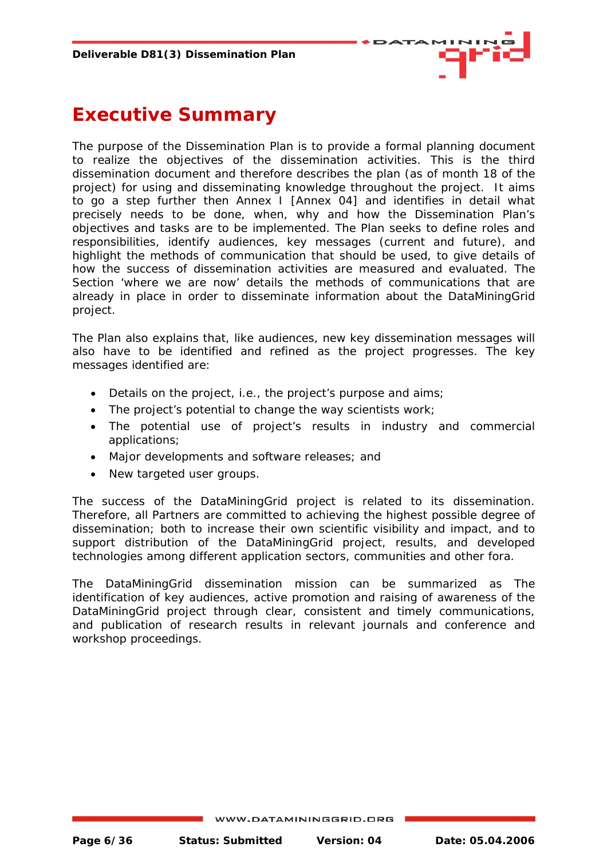

## <span id="page-5-0"></span>**Executive Summary**

The purpose of the Dissemination Plan is to provide a formal planning document to realize the objectives of the dissemination activities. This is the third dissemination document and therefore describes the plan (as of month 18 of the project) for using and disseminating knowledge throughout the project. It aims to go a step further then Annex I [Annex 04] and identifies in detail what precisely needs to be done, when, why and how the Dissemination Plan's objectives and tasks are to be implemented. The Plan seeks to define roles and responsibilities, identify audiences, key messages (current and future), and highlight the methods of communication that should be used, to give details of how the success of dissemination activities are measured and evaluated. The Section 'where we are now' details the methods of communications that are already in place in order to disseminate information about the DataMiningGrid project.

The Plan also explains that, like audiences, new key dissemination messages will also have to be identified and refined as the project progresses. The key messages identified are:

- Details on the project, i.e., the project's purpose and aims;
- The project's potential to change the way scientists work;
- The potential use of project's results in industry and commercial applications;
- Major developments and software releases; and
- New targeted user groups.

The success of the DataMiningGrid project is related to its dissemination. Therefore, all Partners are committed to achieving the highest possible degree of dissemination; both to increase their own scientific visibility and impact, and to support distribution of the DataMiningGrid project, results, and developed technologies among different application sectors, communities and other fora.

The DataMiningGrid dissemination mission can be summarized as The identification of key audiences, active promotion and raising of awareness of the DataMiningGrid project through clear, consistent and timely communications, and publication of research results in relevant journals and conference and workshop proceedings.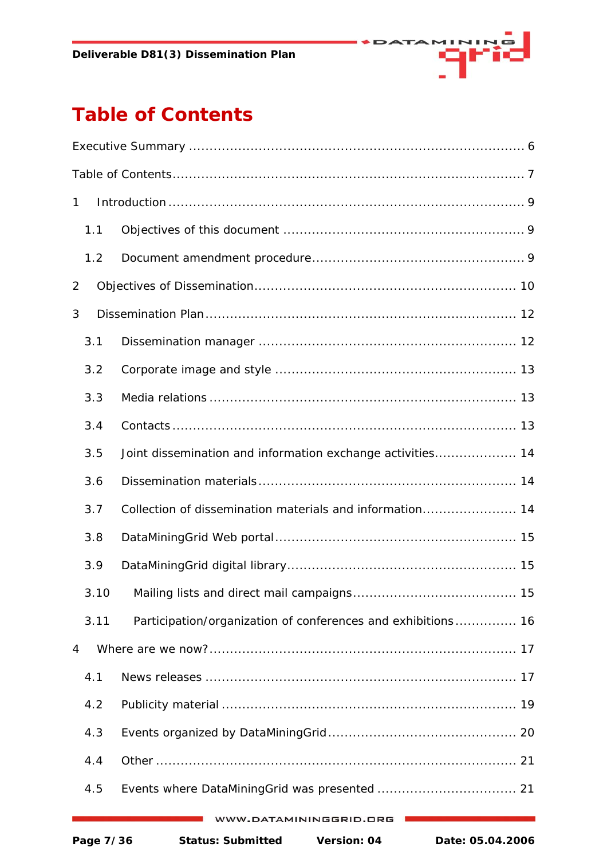

# <span id="page-6-0"></span>**Table of Contents**

| $\mathbf{1}$ |           |                                                              |  |
|--------------|-----------|--------------------------------------------------------------|--|
|              | 1.1       |                                                              |  |
|              | 1.2       |                                                              |  |
| 2            |           |                                                              |  |
| 3            |           |                                                              |  |
|              | 3.1       |                                                              |  |
|              | 3.2       |                                                              |  |
|              | 3.3       |                                                              |  |
|              | 3.4       |                                                              |  |
|              | 3.5       | Joint dissemination and information exchange activities 14   |  |
|              | 3.6       |                                                              |  |
|              | 3.7       | Collection of dissemination materials and information 14     |  |
|              | 3.8       |                                                              |  |
|              | 3.9       |                                                              |  |
|              |           |                                                              |  |
|              | 3.11      | Participation/organization of conferences and exhibitions 16 |  |
| 4            |           |                                                              |  |
|              | 4.1       |                                                              |  |
|              | 4.2       |                                                              |  |
|              | 4.3       |                                                              |  |
|              | 4.4       |                                                              |  |
|              | 4.5       |                                                              |  |
|              |           | V.DATAMININGGRID.ORG                                         |  |
|              | Page 7/36 | <b>Status: Submitted</b><br>Version: 04<br>Date: 05.04.2006  |  |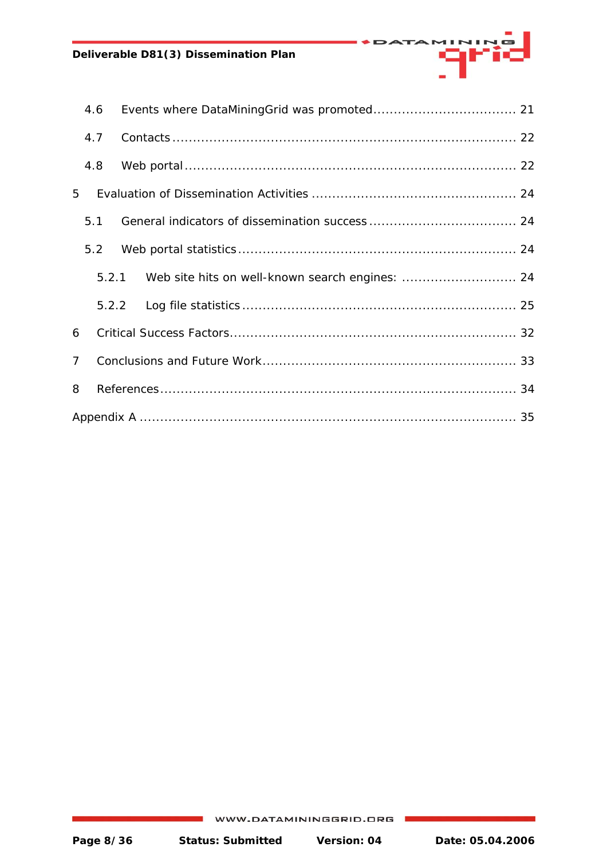#### **Deliverable D81(3) Dissemination Plan**

|             | 4.6 |                                                       |  |  |  |  |  |
|-------------|-----|-------------------------------------------------------|--|--|--|--|--|
|             | 4.7 |                                                       |  |  |  |  |  |
|             | 4.8 |                                                       |  |  |  |  |  |
| 5           |     |                                                       |  |  |  |  |  |
|             | 5.1 |                                                       |  |  |  |  |  |
|             | 5.2 |                                                       |  |  |  |  |  |
|             |     | 5.2.1 Web site hits on well-known search engines:  24 |  |  |  |  |  |
|             |     |                                                       |  |  |  |  |  |
| 6           |     |                                                       |  |  |  |  |  |
| $7^{\circ}$ |     |                                                       |  |  |  |  |  |
| 8           |     |                                                       |  |  |  |  |  |
|             |     |                                                       |  |  |  |  |  |

mana<mark>a</mark>l

DATA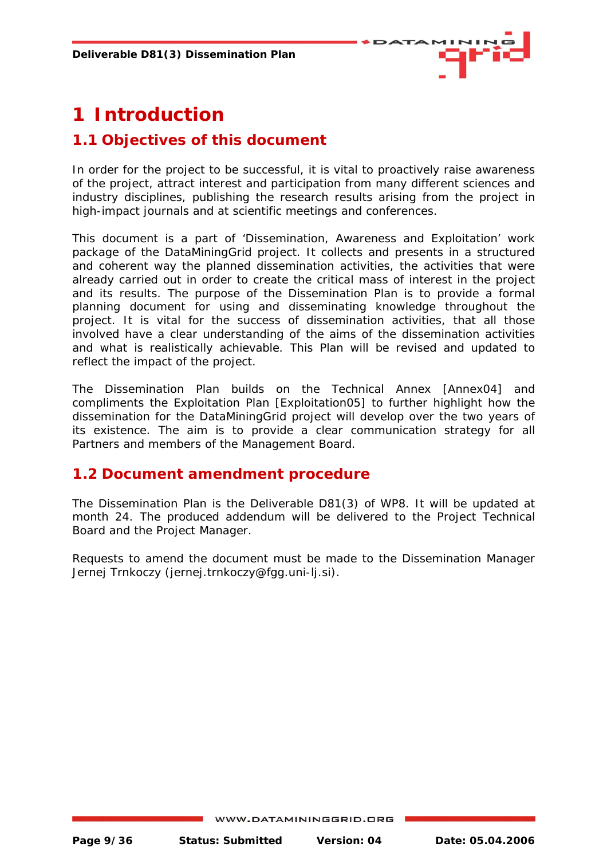

## <span id="page-8-0"></span>**1 Introduction**

## **1.1 Objectives of this document**

In order for the project to be successful, it is vital to proactively raise awareness of the project, attract interest and participation from many different sciences and industry disciplines, publishing the research results arising from the project in high-impact journals and at scientific meetings and conferences.

This document is a part of 'Dissemination, Awareness and Exploitation' work package of the DataMiningGrid project. It collects and presents in a structured and coherent way the planned dissemination activities, the activities that were already carried out in order to create the critical mass of interest in the project and its results. The purpose of the Dissemination Plan is to provide a formal planning document for using and disseminating knowledge throughout the project. It is vital for the success of dissemination activities, that all those involved have a clear understanding of the aims of the dissemination activities and what is realistically achievable. This Plan will be revised and updated to reflect the impact of the project.

The Dissemination Plan builds on the Technical Annex [Annex04] and compliments the Exploitation Plan [Exploitation05] to further highlight how the dissemination for the DataMiningGrid project will develop over the two years of its existence. The aim is to provide a clear communication strategy for all Partners and members of the Management Board.

## **1.2 Document amendment procedure**

The Dissemination Plan is the Deliverable D81(3) of WP8. It will be updated at month 24. The produced addendum will be delivered to the Project Technical Board and the Project Manager.

Requests to amend the document must be made to the Dissemination Manager Jernej Trnkoczy ([jernej.trnkoczy@fgg.uni-lj.si](mailto:jernej.trnkoczy@fgg.uni-lj.si)).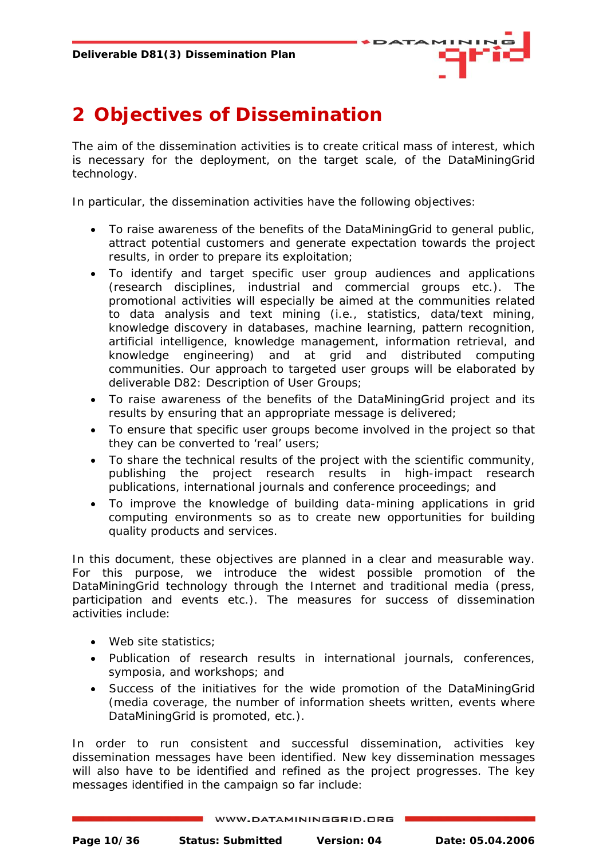

## <span id="page-9-0"></span>**2 Objectives of Dissemination**

The aim of the dissemination activities is to create critical mass of interest, which is necessary for the deployment, on the target scale, of the DataMiningGrid technology.

In particular, the dissemination activities have the following objectives:

- To raise awareness of the benefits of the DataMiningGrid to general public, attract potential customers and generate expectation towards the project results, in order to prepare its exploitation;
- To identify and target specific user group audiences and applications (research disciplines, industrial and commercial groups etc.). The promotional activities will especially be aimed at the communities related to data analysis and text mining (i.e., statistics, data/text mining, knowledge discovery in databases, machine learning, pattern recognition, artificial intelligence, knowledge management, information retrieval, and knowledge engineering) and at grid and distributed computing communities. Our approach to targeted user groups will be elaborated by deliverable D82: Description of User Groups;
- To raise awareness of the benefits of the DataMiningGrid project and its results by ensuring that an appropriate message is delivered;
- To ensure that specific user groups become involved in the project so that they can be converted to 'real' users;
- To share the technical results of the project with the scientific community, publishing the project research results in high-impact research publications, international journals and conference proceedings; and
- To improve the knowledge of building data-mining applications in grid computing environments so as to create new opportunities for building quality products and services.

In this document, these objectives are planned in a clear and measurable way. For this purpose, we introduce the widest possible promotion of the DataMiningGrid technology through the Internet and traditional media (press, participation and events etc.). The measures for success of dissemination activities include:

- Web site statistics;
- Publication of research results in international journals, conferences, symposia, and workshops; and
- Success of the initiatives for the wide promotion of the DataMiningGrid (media coverage, the number of information sheets written, events where DataMiningGrid is promoted, etc.).

In order to run consistent and successful dissemination, activities key dissemination *messages* have been identified. New key dissemination messages will also have to be identified and refined as the project progresses. The key messages identified in the campaign so far include: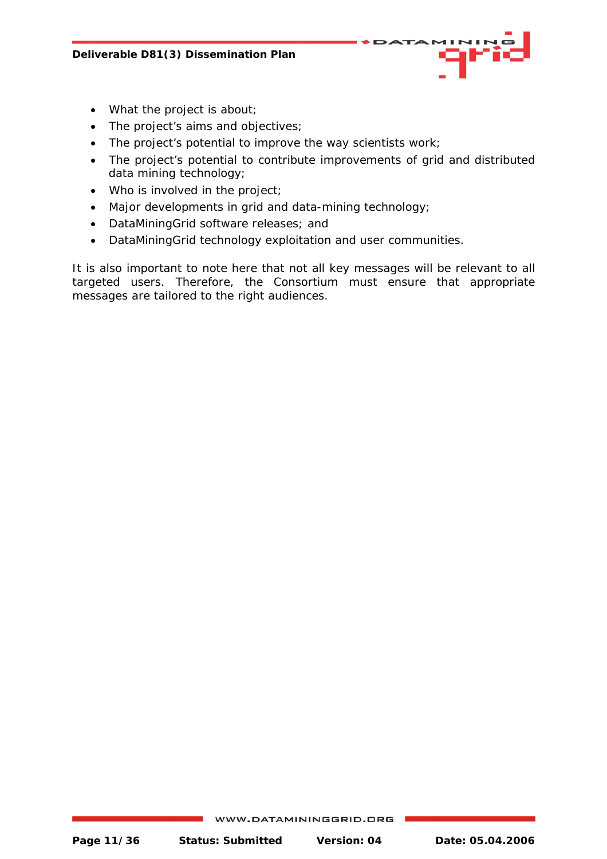- What the project is about;
- The project's aims and objectives;
- The project's potential to improve the way scientists work;
- The project's potential to contribute improvements of grid and distributed data mining technology;
- Who is involved in the project;
- Major developments in grid and data-mining technology;
- DataMiningGrid software releases; and
- DataMiningGrid technology exploitation and user communities.

It is also important to note here that not all key messages will be relevant to all targeted users. Therefore, the Consortium must ensure that appropriate messages are tailored to the right audiences.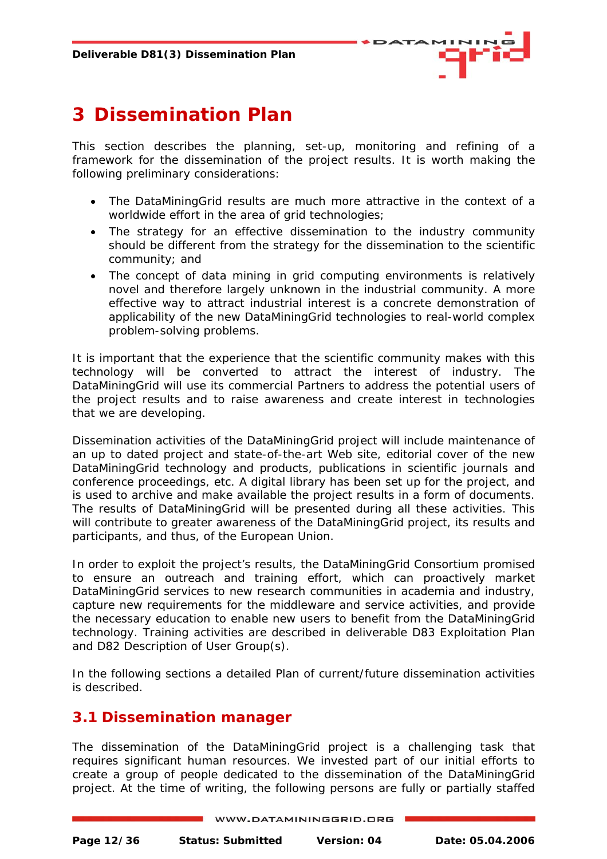

## <span id="page-11-0"></span>**3 Dissemination Plan**

This section describes the planning, set-up, monitoring and refining of a framework for the dissemination of the project results. It is worth making the following preliminary considerations:

- The DataMiningGrid results are much more attractive in the context of a worldwide effort in the area of grid technologies;
- The strategy for an effective dissemination to the industry community should be different from the strategy for the dissemination to the scientific community; and
- The concept of *data mining in grid computing environments* is relatively novel and therefore largely unknown in the industrial community. A more effective way to attract industrial interest is a concrete demonstration of applicability of the new DataMiningGrid technologies to real-world complex problem-solving problems.

It is important that the experience that the scientific community makes with this technology will be converted to attract the interest of industry. The DataMiningGrid will use its commercial Partners to address the potential users of the project results and to raise awareness and create interest in technologies that we are developing.

Dissemination activities of the DataMiningGrid project will include maintenance of an up to dated project and state-of-the-art Web site, editorial cover of the new DataMiningGrid technology and products, publications in scientific journals and conference proceedings, etc. A digital library has been set up for the project, and is used to archive and make available the project results in a form of documents. The results of DataMiningGrid will be presented during all these activities. This will contribute to greater awareness of the DataMiningGrid project, its results and participants, and thus, of the European Union.

In order to exploit the project's results, the DataMiningGrid Consortium promised to ensure an outreach and training effort, which can proactively market DataMiningGrid services to new research communities in academia and industry, capture new requirements for the middleware and service activities, and provide the necessary education to enable new users to benefit from the DataMiningGrid technology. Training activities are described in deliverable D83 Exploitation Plan and D82 Description of User Group(s).

In the following sections a detailed Plan of current/future dissemination activities is described.

## **3.1 Dissemination manager**

The dissemination of the DataMiningGrid project is a challenging task that requires significant human resources. We invested part of our initial efforts to create a group of people dedicated to the dissemination of the DataMiningGrid project. At the time of writing, the following persons are fully or partially staffed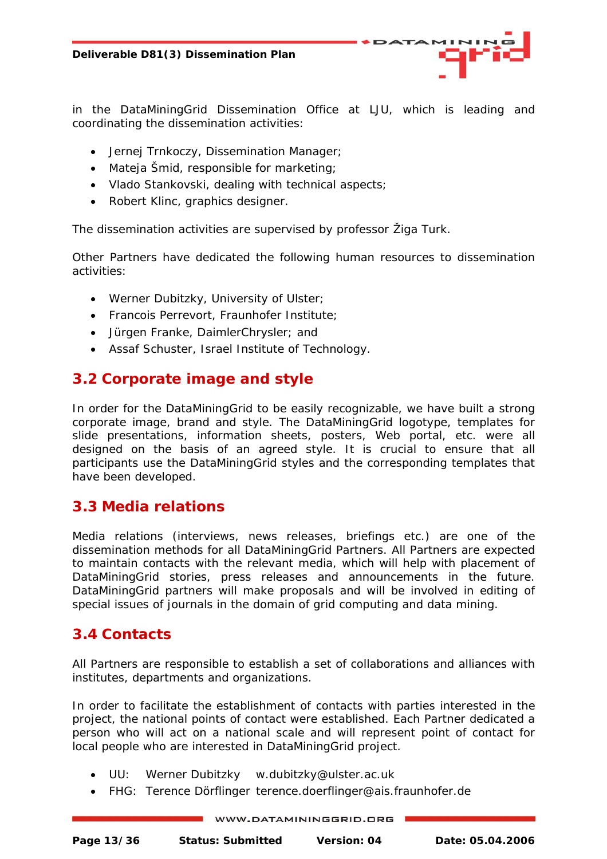<span id="page-12-0"></span>in the DataMiningGrid Dissemination Office at LJU, which is leading and coordinating the dissemination activities:

- Jernej Trnkoczy, Dissemination Manager;
- Mateja Šmid, responsible for marketing;
- Vlado Stankovski, dealing with technical aspects;
- Robert Klinc, graphics designer.

The dissemination activities are supervised by professor Žiga Turk.

Other Partners have dedicated the following human resources to dissemination activities:

- Werner Dubitzky, University of Ulster;
- Francois Perrevort, Fraunhofer Institute;
- Jürgen Franke, DaimlerChrysler; and
- Assaf Schuster, Israel Institute of Technology.

## **3.2 Corporate image and style**

In order for the DataMiningGrid to be easily recognizable, we have built a strong corporate image, brand and style. The DataMiningGrid logotype, templates for slide presentations, information sheets, posters, Web portal, etc. were all designed on the basis of an agreed style. It is crucial to ensure that all participants use the DataMiningGrid styles and the corresponding templates that have been developed.

## **3.3 Media relations**

Media relations (interviews, news releases, briefings etc.) are one of the dissemination methods for all DataMiningGrid Partners. All Partners are expected to maintain contacts with the relevant media, which will help with placement of DataMiningGrid stories, press releases and announcements in the future. DataMiningGrid partners will make proposals and will be involved in editing of special issues of journals in the domain of grid computing and data mining.

## **3.4 Contacts**

All Partners are responsible to establish a set of collaborations and alliances with institutes, departments and organizations.

In order to facilitate the establishment of contacts with parties interested in the project, the national points of contact were established. Each Partner dedicated a person who will act on a national scale and will represent point of contact for local people who are interested in DataMiningGrid project.

- UU: Werner Dubitzky w.dubitzky@ulster.ac.uk
- FHG: Terence Dörflinger terence.doerflinger@ais.fraunhofer.de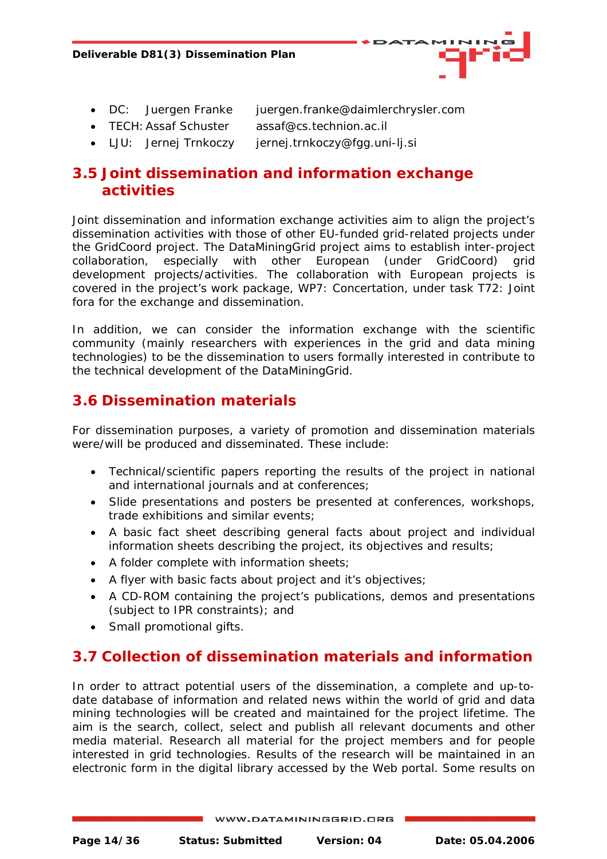

- <span id="page-13-0"></span>• DC: Juergen Franke juergen.franke@daimlerchrysler.com
- TECH: Assaf Schuster assaf@cs.technion.ac.il
- LJU: Jernej Trnkoczy jernej.trnkoczy@fgg.uni-lj.si

## **3.5 Joint dissemination and information exchange activities**

Joint dissemination and information exchange activities aim to align the project's dissemination activities with those of other EU-funded grid-related projects under the GridCoord project. The DataMiningGrid project aims to establish inter-project collaboration, especially with other European (under GridCoord) grid development projects/activities. The collaboration with European projects is covered in the project's work package, WP7: Concertation, under task T72: Joint fora for the exchange and dissemination.

In addition, we can consider the information exchange with the scientific community (mainly researchers with experiences in the grid and data mining technologies) to be the dissemination to users formally interested in contribute to the technical development of the DataMiningGrid.

## **3.6 Dissemination materials**

For dissemination purposes, a variety of promotion and dissemination materials were/will be produced and disseminated. These include:

- Technical/scientific papers reporting the results of the project in national and international journals and at conferences;
- Slide presentations and posters be presented at conferences, workshops, trade exhibitions and similar events;
- A *basic fact sheet* describing general facts about project and individual *information sheets* describing the project, its objectives and results;
- A folder complete with information sheets;
- A flyer with basic facts about project and it's objectives;
- A CD-ROM containing the project's publications, demos and presentations (subject to IPR constraints); and
- Small promotional gifts.

## **3.7 Collection of dissemination materials and information**

In order to attract potential users of the dissemination, a complete and up-todate database of information and related news within the world of grid and data mining technologies will be created and maintained for the project lifetime. The aim is the search, collect, select and publish all relevant documents and other media material. Research all material for the project members and for people interested in grid technologies. Results of the research will be maintained in an electronic form in the digital library accessed by the Web portal. Some results on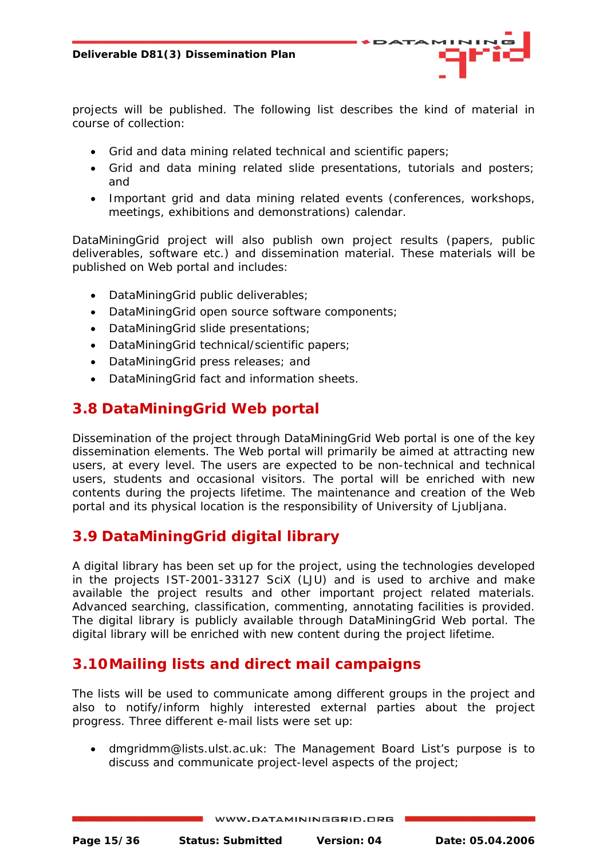<span id="page-14-0"></span>projects will be published. The following list describes the kind of material in course of collection:

- Grid and data mining related technical and scientific papers;
- Grid and data mining related slide presentations, tutorials and posters; and
- Important grid and data mining related events (conferences, workshops, meetings, exhibitions and demonstrations) calendar.

DataMiningGrid project will also publish own project results (papers, public deliverables, software etc.) and dissemination material. These materials will be published on Web portal and includes:

- DataMiningGrid public deliverables;
- DataMiningGrid open source software components;
- DataMiningGrid slide presentations;
- DataMiningGrid technical/scientific papers;
- DataMiningGrid press releases; and
- DataMiningGrid fact and information sheets.

## **3.8 DataMiningGrid Web portal**

Dissemination of the project through DataMiningGrid Web portal is one of the key dissemination elements. The Web portal will primarily be aimed at attracting new users, at every level. The users are expected to be non-technical and technical users, students and occasional visitors. The portal will be enriched with new contents during the projects lifetime. The maintenance and creation of the Web portal and its physical location is the responsibility of University of Ljubljana.

## **3.9 DataMiningGrid digital library**

A digital library has been set up for the project, using the technologies developed in the projects IST-2001-33127 SciX (LJU) and is used to archive and make available the project results and other important project related materials. Advanced searching, classification, commenting, annotating facilities is provided. The digital library is publicly available through DataMiningGrid Web portal. The digital library will be enriched with new content during the project lifetime.

## **3.10Mailing lists and direct mail campaigns**

The lists will be used to communicate among different groups in the project and also to notify/inform highly interested external parties about the project progress. Three different e-mail lists were set up:

• dmgridmm@lists.ulst.ac.uk: The Management Board List's purpose is to discuss and communicate project-level aspects of the project;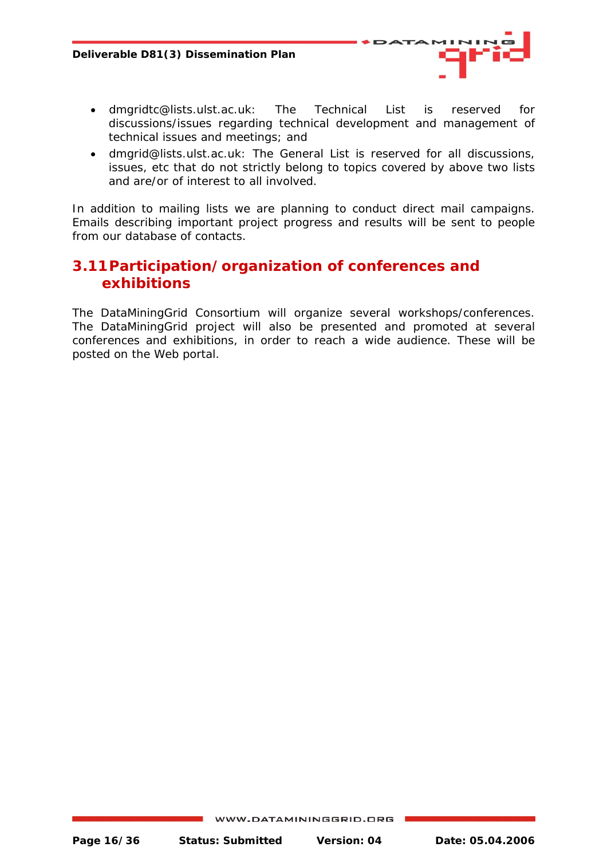

- <span id="page-15-0"></span>• dmgridtc@lists.ulst.ac.uk: The Technical List is reserved for discussions/issues regarding technical development and management of technical issues and meetings; and
- dmgrid@lists.ulst.ac.uk: The General List is reserved for all discussions, issues, etc that do not strictly belong to topics covered by above two lists and are/or of interest to all involved.

In addition to mailing lists we are planning to conduct direct mail campaigns. Emails describing important project progress and results will be sent to people from our database of contacts.

## **3.11Participation/organization of conferences and exhibitions**

The DataMiningGrid Consortium will organize several workshops/conferences. The DataMiningGrid project will also be presented and promoted at several conferences and exhibitions, in order to reach a wide audience. These will be posted on the Web portal.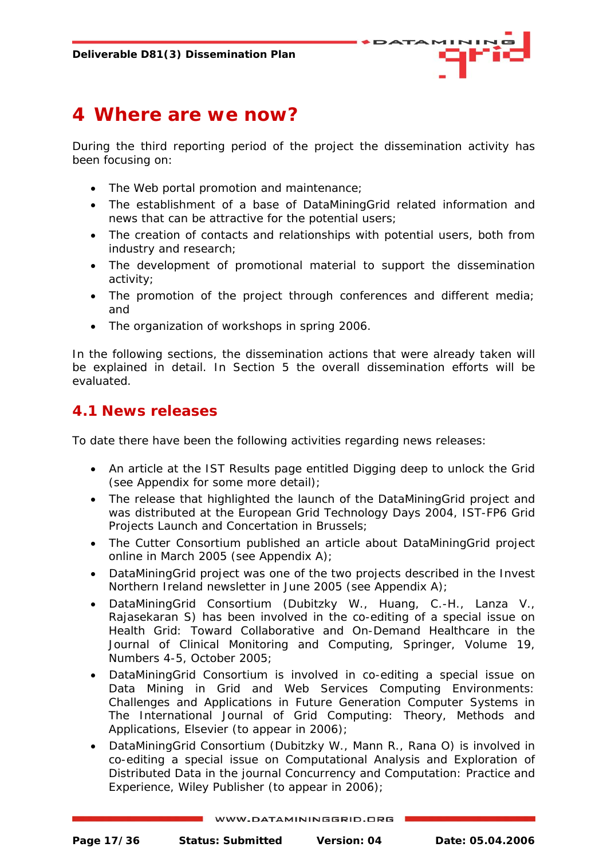

## <span id="page-16-0"></span>**4 Where are we now?**

During the third reporting period of the project the dissemination activity has been focusing on:

- The Web portal promotion and maintenance;
- The establishment of a base of DataMiningGrid related information and news that can be attractive for the potential users;
- The creation of contacts and relationships with potential users, both from industry and research;
- The development of promotional material to support the dissemination activity;
- The promotion of the project through conferences and different media; and
- The organization of workshops in spring 2006.

In the following sections, the dissemination actions that were already taken will be explained in detail. In Section 5 the overall dissemination efforts will be evaluated.

## **4.1 News releases**

To date there have been the following activities regarding news releases:

- An article at the IST Results page entitled Digging deep to unlock the Grid (see Appendix for some more detail);
- The release that highlighted the launch of the DataMiningGrid project and was distributed at the European Grid Technology Days 2004, IST-FP6 Grid Projects Launch and Concertation in Brussels;
- The Cutter Consortium published an article about DataMiningGrid project online in March 2005 (see Appendix A);
- DataMiningGrid project was one of the two projects described in the Invest Northern Ireland newsletter in June 2005 (see Appendix A);
- DataMiningGrid Consortium (Dubitzky W., Huang, C.-H., Lanza V., Rajasekaran S) has been involved in the co-editing of a special issue on Health Grid: Toward Collaborative and On-Demand Healthcare in the Journal of Clinical Monitoring and Computing, Springer, Volume 19, Numbers 4-5, October 2005;
- DataMiningGrid Consortium is involved in co-editing a special issue on Data Mining in Grid and Web Services Computing Environments: Challenges and Applications in Future Generation Computer Systems in The International Journal of Grid Computing: Theory, Methods and Applications, Elsevier (to appear in 2006);
- DataMiningGrid Consortium (Dubitzky W., Mann R., Rana O) is involved in co-editing a special issue on Computational Analysis and Exploration of Distributed Data in the journal *Concurrency and Computation: Practice and Experience, Wiley Publisher* (to appear in 2006);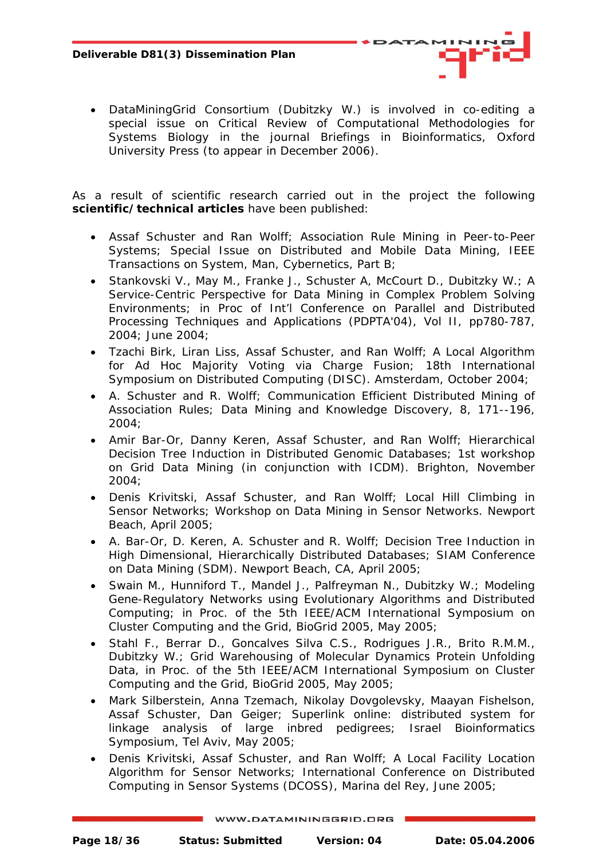- 
- DataMiningGrid Consortium (Dubitzky W.) is involved in co-editing a special issue on Critical Review of Computational Methodologies for Systems Biology in the journal Briefings in Bioinformatics, Oxford University Press (to appear in December 2006).

As a result of scientific research carried out in the project the following **scientific/technical articles** have been published:

- Assaf Schuster and Ran Wolff; *Association Rule Mining in Peer-to-Peer Systems*; Special Issue on Distributed and Mobile Data Mining, IEEE Transactions on System, Man, Cybernetics, Part B;
- Stankovski V., May M., Franke J., Schuster A, McCourt D., Dubitzky W.; *A Service-Centric Perspective for Data Mining in Complex Problem Solving Environments*; in Proc of Int'l Conference on Parallel and Distributed Processing Techniques and Applications (PDPTA'04), Vol II, pp780-787, 2004; June 2004;
- Tzachi Birk, Liran Liss, Assaf Schuster, and Ran Wolff; *A Local Algorithm for Ad Hoc Majority Voting via Charge Fusion*; 18th International Symposium on Distributed Computing (DISC). Amsterdam, October 2004;
- A. Schuster and R. Wolff; *Communication Efficient Distributed Mining of Association Rules*; Data Mining and Knowledge Discovery, 8, 171--196, 2004;
- Amir Bar-Or, Danny Keren, Assaf Schuster, and Ran Wolff; *Hierarchical Decision Tree Induction in Distributed Genomic Databases*; 1st workshop on Grid Data Mining (in conjunction with ICDM). Brighton, November 2004;
- Denis Krivitski, Assaf Schuster, and Ran Wolff; *Local Hill Climbing in Sensor Networks*; Workshop on Data Mining in Sensor Networks. Newport Beach, April 2005;
- A. Bar-Or, D. Keren, A. Schuster and R. Wolff; *Decision Tree Induction in High Dimensional, Hierarchically Distributed Databases*; SIAM Conference on Data Mining (SDM). Newport Beach, CA, April 2005;
- Swain M., Hunniford T., Mandel J., Palfreyman N., Dubitzky W.; *Modeling Gene-Regulatory Networks using Evolutionary Algorithms and Distributed Computing*; in Proc. of the 5th IEEE/ACM International Symposium on Cluster Computing and the Grid, BioGrid 2005, May 2005;
- Stahl F., Berrar D., Goncalves Silva C.S., Rodrigues J.R., Brito R.M.M., Dubitzky W.; *Grid Warehousing of Molecular Dynamics Protein Unfolding Data*, in Proc. of the 5th IEEE/ACM International Symposium on Cluster Computing and the Grid, BioGrid 2005, May 2005;
- Mark Silberstein, Anna Tzemach, Nikolay Dovgolevsky, Maayan Fishelson, Assaf Schuster, Dan Geiger; *Superlink online: distributed system for linkage analysis of large inbred pedigrees*; Israel Bioinformatics Symposium, Tel Aviv, May 2005;
- Denis Krivitski, Assaf Schuster, and Ran Wolff; *A Local Facility Location Algorithm for Sensor Networks*; International Conference on Distributed Computing in Sensor Systems (DCOSS), Marina del Rey, June 2005;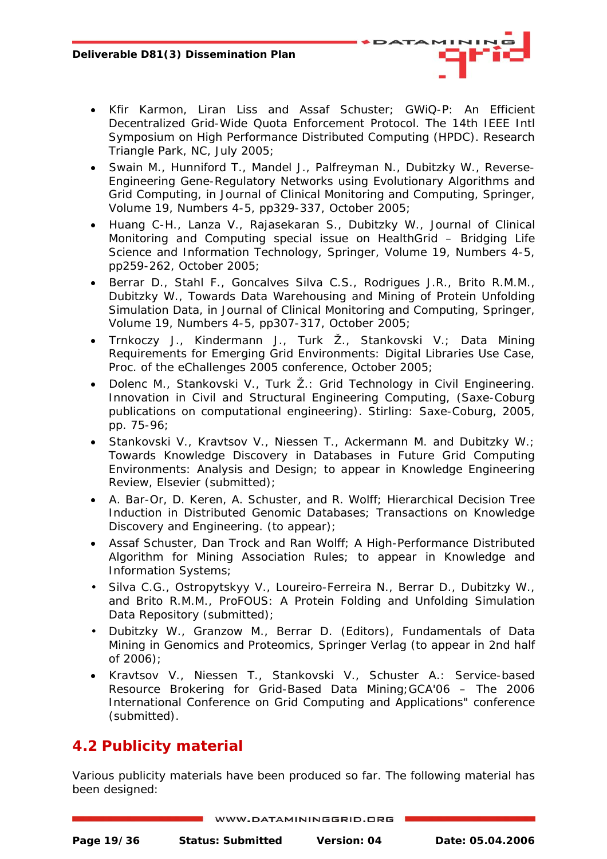- 
- <span id="page-18-0"></span>• Kfir Karmon, Liran Liss and Assaf Schuster; *GWiQ-P: An Efficient Decentralized Grid-Wide Quota Enforcement Protocol*. The 14th IEEE Intl Symposium on High Performance Distributed Computing (HPDC). Research Triangle Park, NC, July 2005;
- Swain M., Hunniford T., Mandel J., Palfreyman N., Dubitzky W., *Reverse-Engineering Gene-Regulatory Networks using Evolutionary Algorithms and Grid Computing*, in Journal of Clinical Monitoring and Computing, Springer, Volume 19, Numbers 4-5, pp329-337, October 2005;
- Huang C-H., Lanza V., Rajasekaran S., Dubitzky W., Journal of Clinical Monitoring and Computing special issue on HealthGrid – *Bridging Life Science and Information Technology*, Springer, Volume 19, Numbers 4-5, pp259-262, October 2005;
- Berrar D., Stahl F., Goncalves Silva C.S., Rodrigues J.R., Brito R.M.M., Dubitzky W., Towards Data Warehousing and Mining of Protein Unfolding Simulation Data, in Journal of Clinical Monitoring and Computing, Springer, Volume 19, Numbers 4-5, pp307-317, October 2005;
- Trnkoczy J., Kindermann J., Turk Ž., Stankovski V.; *Data Mining Requirements for Emerging Grid Environments: Digital Libraries Use Case*, Proc. of the eChallenges 2005 conference, October 2005;
- Dolenc M., Stankovski V., Turk Ž.: *Grid Technology in Civil Engineering*. Innovation in Civil and Structural Engineering Computing, (Saxe-Coburg publications on computational engineering). Stirling: Saxe-Coburg, 2005, pp. 75-96;
- Stankovski V., Kravtsov V., Niessen T., Ackermann M. and Dubitzky W.; *Towards Knowledge Discovery in Databases in Future Grid Computing Environments: Analysis and Design*; to appear in Knowledge Engineering Review, Elsevier (submitted);
- A. Bar-Or, D. Keren, A. Schuster, and R. Wolff; *Hierarchical Decision Tree Induction in Distributed Genomic Databases*; Transactions on Knowledge Discovery and Engineering. (to appear);
- Assaf Schuster, Dan Trock and Ran Wolff; *A High-Performance Distributed Algorithm for Mining Association Rules*; to appear in Knowledge and Information Systems;
- Silva C.G., Ostropytskyy V., Loureiro-Ferreira N., Berrar D., Dubitzky W., and Brito R.M.M., *ProFOUS: A Protein Folding and Unfolding Simulation Data Repository* (submitted);
- Dubitzky W., Granzow M., Berrar D. (Editors), Fundamentals of Data Mining in Genomics and Proteomics, Springer Verlag (to appear in 2nd half of  $2006$ ):
- Kravtsov V., Niessen T., Stankovski V., Schuster A.: *Service-based Resource Brokering for Grid-Based Data Mining;*GCA'06 – The 2006 International Conference on Grid Computing and Applications" conference (submitted).

## **4.2 Publicity material**

Various publicity materials have been produced so far. The following material has been designed: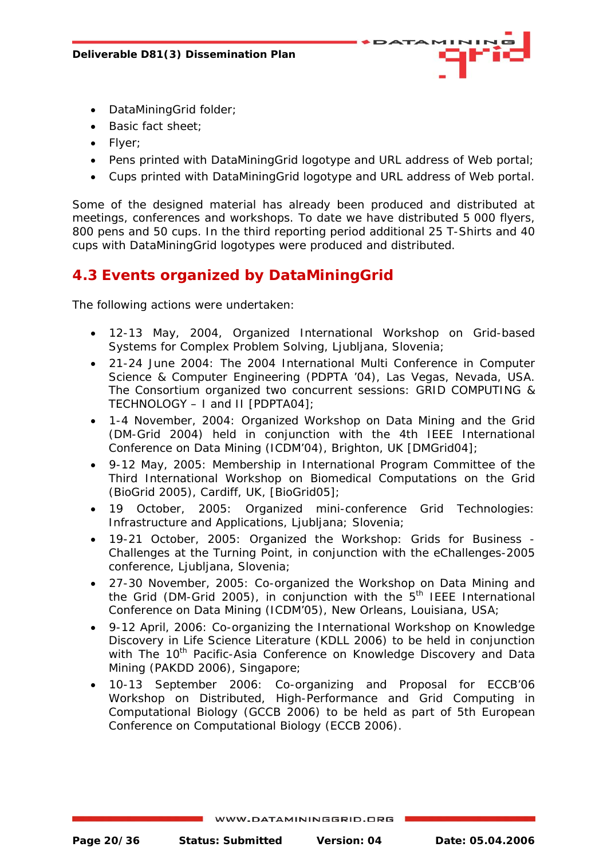

- <span id="page-19-0"></span>• DataMiningGrid folder;
- Basic fact sheet;
- Flyer;
- Pens printed with DataMiningGrid logotype and URL address of Web portal;
- Cups printed with DataMiningGrid logotype and URL address of Web portal.

Some of the designed material has already been produced and distributed at meetings, conferences and workshops. To date we have distributed 5 000 flyers, 800 pens and 50 cups. In the third reporting period additional 25 T-Shirts and 40 cups with DataMiningGrid logotypes were produced and distributed.

## **4.3 Events organized by DataMiningGrid**

The following actions were undertaken:

- 12-13 May, 2004, Organized International Workshop on Grid-based Systems for Complex Problem Solving, Ljubljana, Slovenia;
- 21-24 June 2004: The 2004 International Multi Conference in Computer Science & Computer Engineering (PDPTA '04), Las Vegas, Nevada, USA. The Consortium organized two concurrent sessions: GRID COMPUTING & TECHNOLOGY – I and II [PDPTA04];
- 1-4 November, 2004: Organized Workshop on Data Mining and the Grid (DM-Grid 2004) held in conjunction with the 4th IEEE International Conference on Data Mining (ICDM'04), Brighton, UK [DMGrid04];
- 9-12 May, 2005: Membership in International Program Committee of the Third International Workshop on Biomedical Computations on the Grid (BioGrid 2005), Cardiff, UK, [BioGrid05];
- 19 October, 2005: Organized mini-conference Grid Technologies: Infrastructure and Applications, Ljubljana; Slovenia;
- 19-21 October, 2005: Organized the Workshop: Grids for Business Challenges at the Turning Point, in conjunction with the eChallenges-2005 conference, Ljubljana, Slovenia;
- 27-30 November, 2005: Co-organized the Workshop on Data Mining and the Grid (DM-Grid 2005), in conjunction with the  $5<sup>th</sup>$  IEEE International Conference on Data Mining (ICDM'05), New Orleans, Louisiana, USA;
- 9-12 April, 2006: Co-organizing the International Workshop on Knowledge Discovery in Life Science Literature (KDLL 2006) to be held in conjunction with The 10<sup>th</sup> Pacific-Asia Conference on Knowledge Discovery and Data Mining (PAKDD 2006), Singapore;
- 10-13 September 2006: Co-organizing and Proposal for ECCB'06 Workshop on Distributed, High-Performance and Grid Computing in Computational Biology (GCCB 2006) to be held as part of 5th European Conference on Computational Biology (ECCB 2006).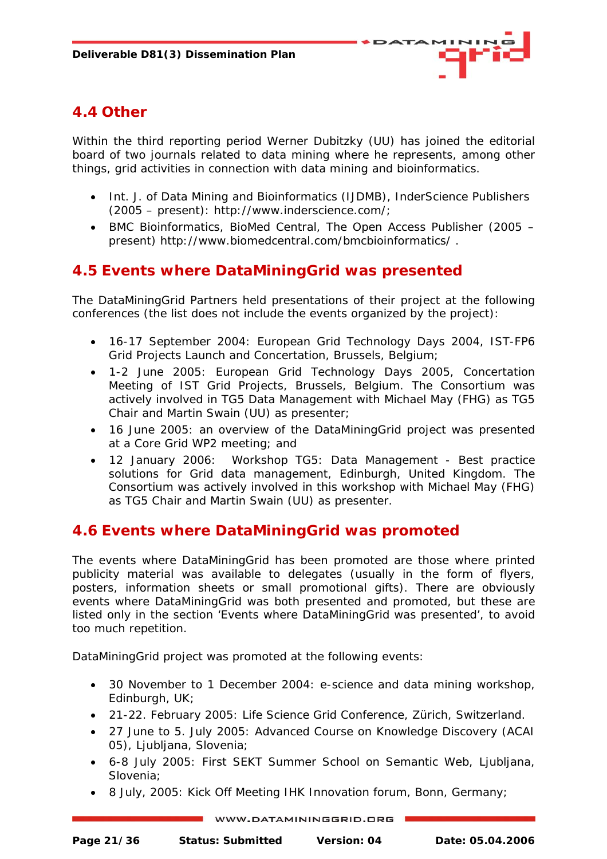

## <span id="page-20-0"></span>**4.4 Other**

Within the third reporting period Werner Dubitzky (UU) has joined the editorial board of two journals related to data mining where he represents, among other things, grid activities in connection with data mining and bioinformatics.

- Int. J. of Data Mining and Bioinformatics (IJDMB), InderScience Publishers (2005 – present): http://www.inderscience.com/;
- BMC Bioinformatics, BioMed Central, The Open Access Publisher (2005 present)<http://www.biomedcentral.com/bmcbioinformatics/> .

## **4.5 Events where DataMiningGrid was presented**

The DataMiningGrid Partners held presentations of their project at the following conferences (the list does not include the events organized by the project):

- 16-17 September 2004: European Grid Technology Days 2004, IST-FP6 Grid Projects Launch and Concertation, Brussels, Belgium;
- 1-2 June 2005: European Grid Technology Days 2005, Concertation Meeting of IST Grid Projects, Brussels, Belgium. The Consortium was actively involved in TG5 Data Management with Michael May (FHG) as TG5 Chair and Martin Swain (UU) as presenter;
- 16 June 2005: an overview of the DataMiningGrid project was presented at a Core Grid WP2 meeting; and
- 12 January 2006: Workshop TG5: Data Management Best practice solutions for Grid data management, Edinburgh, United Kingdom. The Consortium was actively involved in this workshop with Michael May (FHG) as TG5 Chair and Martin Swain (UU) as presenter.

## **4.6 Events where DataMiningGrid was promoted**

The events where DataMiningGrid has been promoted are those where printed publicity material was available to delegates (usually in the form of flyers, posters, information sheets or small promotional gifts). There are obviously events where DataMiningGrid was both presented and promoted, but these are listed only in the section 'Events where DataMiningGrid was presented', to avoid too much repetition.

DataMiningGrid project was promoted at the following events:

- 30 November to 1 December 2004: e-science and data mining workshop, Edinburgh, UK;
- 21-22. February 2005: Life Science Grid Conference, Zürich, Switzerland.
- 27 June to 5. July 2005: Advanced Course on Knowledge Discovery (ACAI 05), Ljubljana, Slovenia;
- 6-8 July 2005: First SEKT Summer School on Semantic Web, Ljubljana, Slovenia;
- 8 July, 2005: Kick Off Meeting IHK Innovation forum, Bonn, Germany;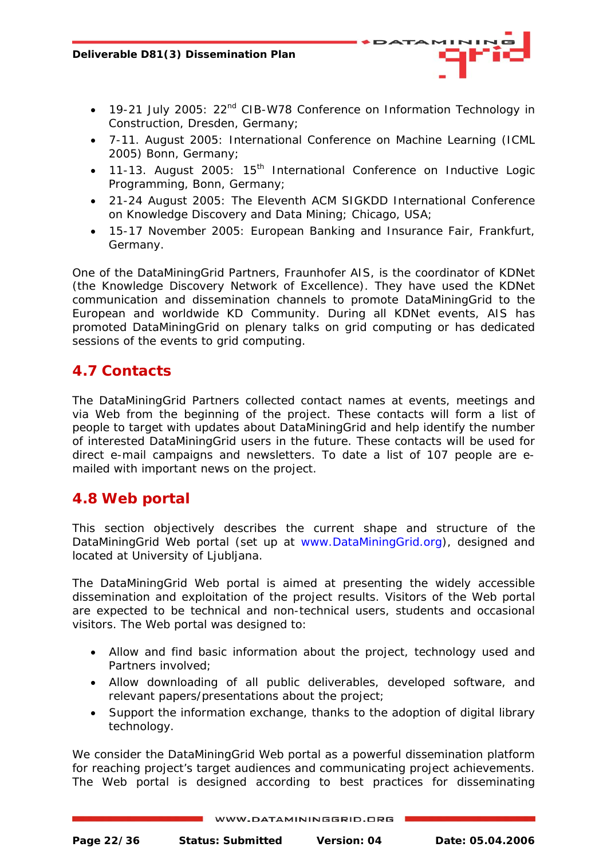- <span id="page-21-0"></span>• 19-21 July 2005: 22<sup>nd</sup> CIB-W78 Conference on Information Technology in Construction, Dresden, Germany;
- 7-11. August 2005: International Conference on Machine Learning (ICML 2005) Bonn, Germany;
- 11-13. August 2005:  $15<sup>th</sup>$  International Conference on Inductive Logic Programming, Bonn, Germany;
- 21-24 August 2005: The Eleventh ACM SIGKDD International Conference on Knowledge Discovery and Data Mining; Chicago, USA;
- 15-17 November 2005: European Banking and Insurance Fair, Frankfurt, Germany.

One of the DataMiningGrid Partners, Fraunhofer AIS, is the coordinator of KDNet (the Knowledge Discovery Network of Excellence). They have used the KDNet communication and dissemination channels to promote DataMiningGrid to the European and worldwide KD Community. During all KDNet events, AIS has promoted DataMiningGrid on plenary talks on grid computing or has dedicated sessions of the events to grid computing.

## **4.7 Contacts**

The DataMiningGrid Partners collected contact names at events, meetings and via Web from the beginning of the project. These contacts will form a list of people to target with updates about DataMiningGrid and help identify the number of interested DataMiningGrid users in the future. These contacts will be used for direct e-mail campaigns and newsletters. To date a list of 107 people are emailed with important news on the project.

## **4.8 Web portal**

This section objectively describes the current shape and structure of the DataMiningGrid Web portal (set up at www.DataMiningGrid.org), designed and located at University of Liubliana.

The DataMiningGrid Web portal is aimed at presenting the widely accessible dissemination and exploitation of the project results. Visitors of the Web portal are expected to be technical and non-technical users, students and occasional visitors. The Web portal was designed to:

- Allow and find basic information about the project, technology used and Partners involved;
- Allow downloading of all public deliverables, developed software, and relevant papers/presentations about the project;
- Support the information exchange, thanks to the adoption of digital library technology.

We consider the DataMiningGrid Web portal as a powerful dissemination platform for reaching project's target audiences and communicating project achievements. The Web portal is designed according to best practices for disseminating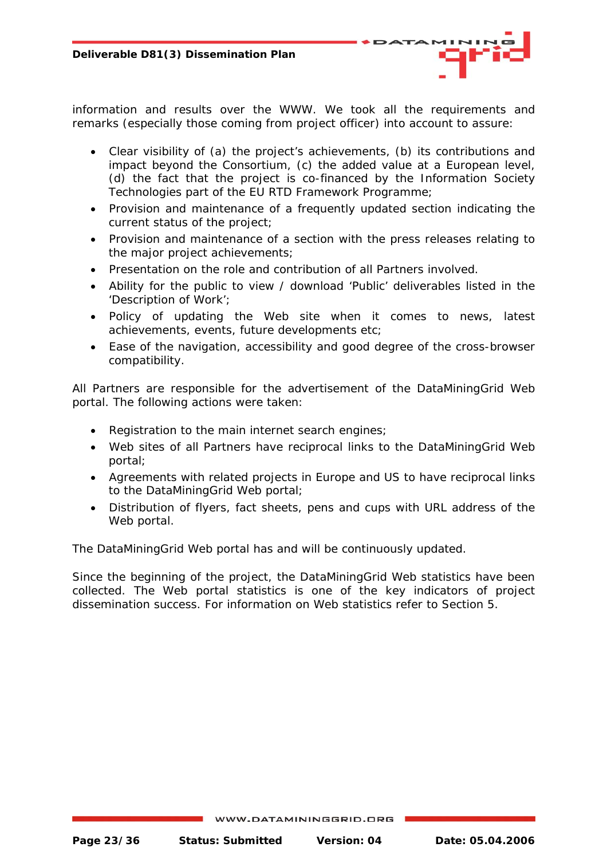information and results over the WWW. We took all the requirements and remarks (especially those coming from project officer) into account to assure:

- Clear visibility of (a) the project's achievements, (b) its contributions and impact beyond the Consortium, (c) the added value at a European level, (d) the fact that the project is co-financed by the Information Society Technologies part of the EU RTD Framework Programme;
- Provision and maintenance of a frequently updated section indicating the current status of the project;
- Provision and maintenance of a section with the press releases relating to the major project achievements;
- Presentation on the role and contribution of all Partners involved.
- Ability for the public to view / download 'Public' deliverables listed in the 'Description of Work';
- Policy of updating the Web site when it comes to news, latest achievements, events, future developments etc;
- Ease of the navigation, accessibility and good degree of the cross-browser compatibility.

All Partners are responsible for the advertisement of the DataMiningGrid Web portal. The following actions were taken:

- Registration to the main internet search engines;
- Web sites of all Partners have reciprocal links to the DataMiningGrid Web portal;
- Agreements with related projects in Europe and US to have reciprocal links to the DataMiningGrid Web portal;
- Distribution of flyers, fact sheets, pens and cups with URL address of the Web portal.

The DataMiningGrid Web portal has and will be continuously updated.

Since the beginning of the project, the DataMiningGrid Web statistics have been collected. The Web portal statistics is one of the key indicators of project dissemination success. For information on Web statistics refer to Section 5.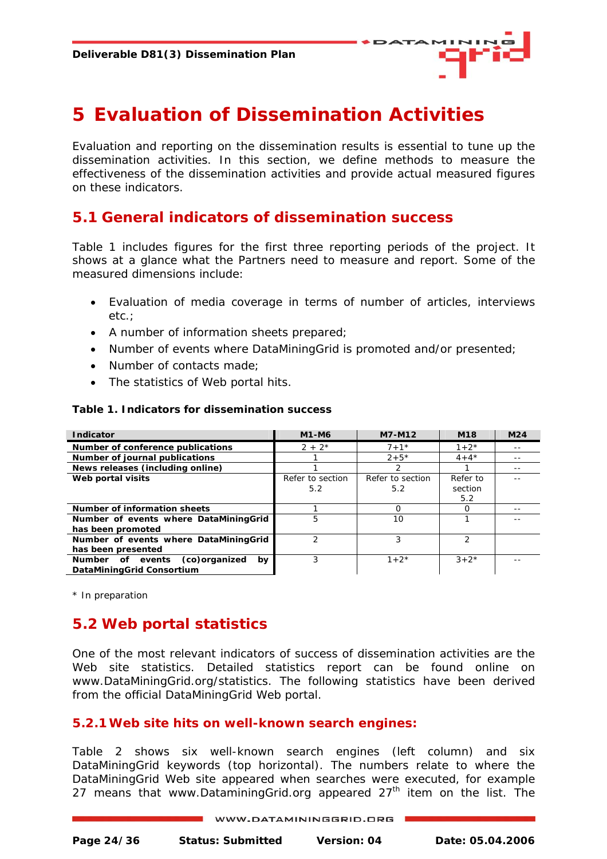

## <span id="page-23-0"></span>**5 Evaluation of Dissemination Activities**

Evaluation and reporting on the dissemination results is essential to tune up the dissemination activities. In this section, we define methods to measure the effectiveness of the dissemination activities and provide actual measured figures on these indicators.

## **5.1 General indicators of dissemination success**

Table 1 includes figures for the first three reporting periods of the project. It shows at a glance what the Partners need to measure and report. Some of the measured dimensions include:

- Evaluation of media coverage in terms of number of articles, interviews etc.;
- A number of information sheets prepared;
- Number of events where DataMiningGrid is promoted and/or presented;
- Number of contacts made:
- The statistics of Web portal hits.

#### **Table 1. Indicators for dissemination success**

| <b>Indicator</b>                        | M1-M6            | M7-M12           | M <sub>18</sub> | M <sub>24</sub> |
|-----------------------------------------|------------------|------------------|-----------------|-----------------|
| Number of conference publications       | $2 + 2^*$        | $7 + 1*$         | $1 + 2^{*}$     |                 |
| Number of journal publications          |                  | $2 + 5*$         | $4 + 4*$        |                 |
| News releases (including online)        |                  | 2                |                 |                 |
| Web portal visits                       | Refer to section | Refer to section | Refer to        |                 |
|                                         | 5.2              | 5.2              | section         |                 |
|                                         |                  |                  | 5.2             |                 |
| Number of information sheets            |                  | $\Omega$         |                 |                 |
| Number of events where DataMiningGrid   | 5                | 10               |                 |                 |
| has been promoted                       |                  |                  |                 |                 |
| Number of events where DataMiningGrid   |                  |                  | っ               |                 |
| has been presented                      |                  |                  |                 |                 |
| (co)organized<br>Number of events<br>bv | 3                | $1 + 2^{*}$      | $3 + 2*$        |                 |
| DataMiningGrid Consortium               |                  |                  |                 |                 |

\* In preparation

## **5.2 Web portal statistics**

One of the most relevant indicators of success of dissemination activities are the Web site statistics. Detailed statistics report can be found online on [www.DataMiningGrid.org/statistics.](http://www.datamininggrid.org/statistics) The following statistics have been derived from the official DataMiningGrid Web portal.

#### **5.2.1Web site hits on well-known search engines:**

Table 2 shows six well-known search engines (left column) and six DataMiningGrid keywords (top horizontal). The numbers relate to where the DataMiningGrid Web site appeared when searches were executed, for example 27 means that www.DataminingGrid.org appeared  $27<sup>th</sup>$  item on the list. The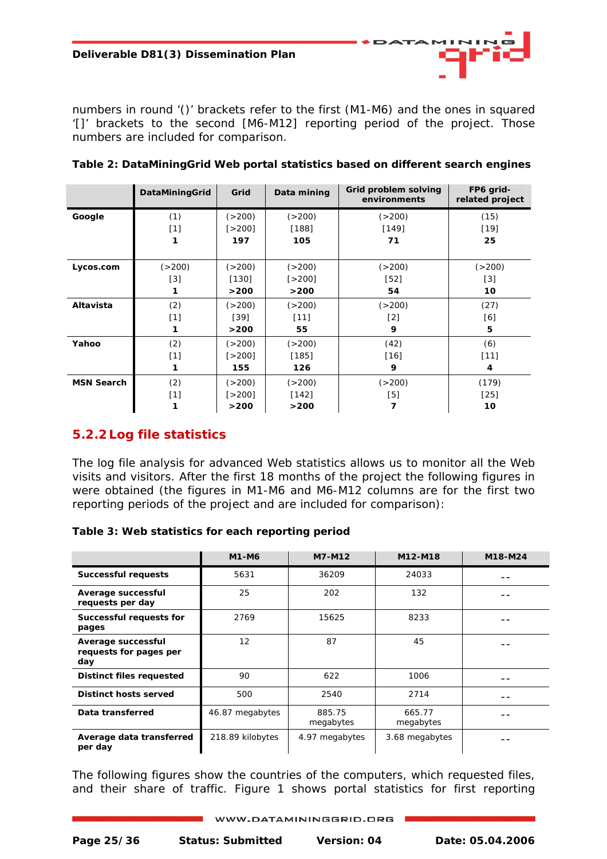<span id="page-24-0"></span>numbers in round '()' brackets refer to the first (M1-M6) and the ones in squared '[]' brackets to the second [M6-M12] reporting period of the project. Those numbers are included for comparison.

|                   | DataMiningGrid | Grid       | Data mining | Grid problem solving<br>environments | FP6 grid-<br>related project |
|-------------------|----------------|------------|-------------|--------------------------------------|------------------------------|
| Google            | (1)            | ( > 200)   | ( > 200)    | ( > 200)                             | (15)                         |
|                   | [1]            | $5 - 2001$ | [188]       | [149]                                | $[19]$                       |
|                   |                | 197        | 105         | 71                                   | 25                           |
|                   |                |            |             |                                      |                              |
| Lycos.com         | ( > 200)       | ( > 200)   | ( > 200)    | ( > 200)                             | ( > 200)                     |
|                   | $[3]$          | [130]      | [>200]      | $[52]$                               | $[3]$                        |
|                   |                | >200       | >200        | 54                                   | 10                           |
| Altavista         | (2)            | (>200)     | ( > 200)    | ( > 200)                             | (27)                         |
|                   | $[1]$          | $[39]$     | $[11]$      | [2]                                  | [6]                          |
|                   |                | >200       | 55          | 9                                    | 5                            |
| Yahoo             | (2)            | ( > 200)   | ( > 200)    | (42)                                 | (6)                          |
|                   | $[1]$          | $5 - 2001$ | [185]       | [16]                                 | $[11]$                       |
|                   | 1              | 155        | 126         | 9                                    | 4                            |
| <b>MSN Search</b> | (2)            | ( > 200)   | ( > 200)    | ( > 200)                             | (179)                        |
|                   | $[1]$          | [>200]     | [142]       | [5]                                  | $[25]$                       |
|                   |                | >200       | >200        | 7                                    | 10                           |

**Table 2: DataMiningGrid Web portal statistics based on different search engines** 

### **5.2.2 Log file statistics**

The log file analysis for advanced Web statistics allows us to monitor all the Web visits and visitors. After the first 18 months of the project the following figures in were obtained (the figures in M1-M6 and M6-M12 columns are for the first two reporting periods of the project and are included for comparison):

|  |  |  | Table 3: Web statistics for each reporting period |  |
|--|--|--|---------------------------------------------------|--|
|  |  |  |                                                   |  |

|                                                     | <b>M1-M6</b>     | M7-M12              | M12-M18             | M18-M24 |
|-----------------------------------------------------|------------------|---------------------|---------------------|---------|
| <b>Successful requests</b>                          | 5631             | 36209               | 24033               |         |
| Average successful<br>requests per day              | 25               | 202                 | 132                 |         |
| Successful requests for<br>pages                    | 2769             | 15625               | 8233                |         |
| Average successful<br>requests for pages per<br>day | 12               | 87                  | 45                  |         |
| Distinct files requested                            | 90               | 622                 | 1006                |         |
| Distinct hosts served                               | 500              | 2540                | 2714                |         |
| Data transferred                                    | 46.87 megabytes  | 885.75<br>megabytes | 665.77<br>megabytes |         |
| Average data transferred<br>per day                 | 218.89 kilobytes | 4.97 megabytes      | 3.68 megabytes      |         |

The following figures show the countries of the computers, which requested files, and their share of traffic. Figure 1 shows portal statistics for first reporting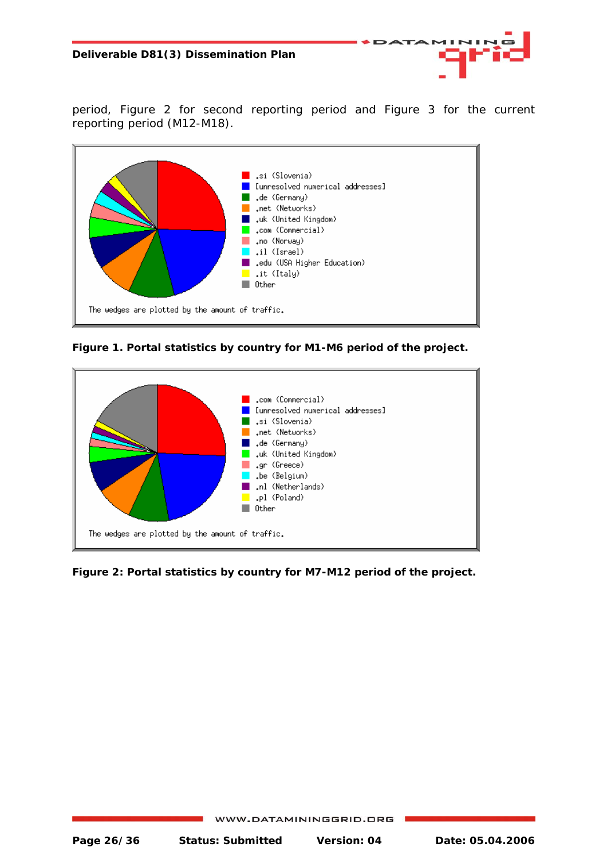period, Figure 2 for second reporting period and Figure 3 for the current reporting period (M12-M18).

**ATA** 



**Figure 1. Portal statistics by country for M1-M6 period of the project.** 



**Figure 2: Portal statistics by country for M7-M12 period of the project.**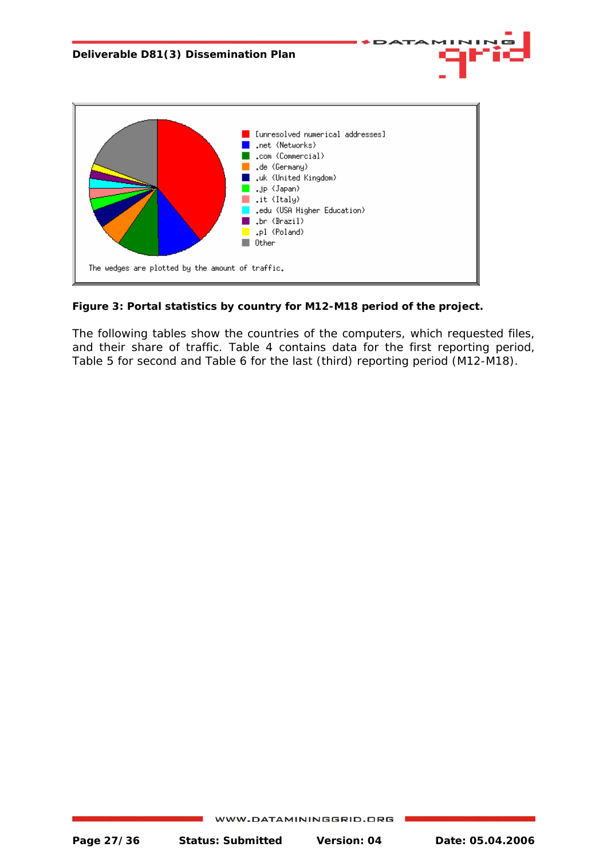

**Figure 3: Portal statistics by country for M12-M18 period of the project.** 

The following tables show the countries of the computers, which requested files, and their share of traffic. Table 4 contains data for the first reporting period, Table 5 for second and Table 6 for the last (third) reporting period (M12-M18).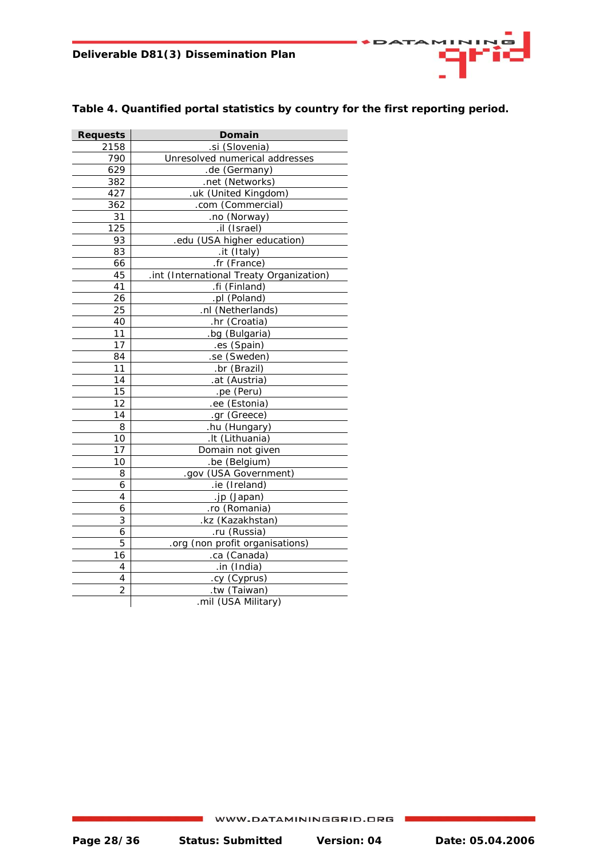| Domain<br><b>Requests</b> |                                          |  |  |
|---------------------------|------------------------------------------|--|--|
| 2158                      | .si (Slovenia)                           |  |  |
| 790                       | Unresolved numerical addresses           |  |  |
| 629                       | .de (Germany)                            |  |  |
| 382                       | .net (Networks)                          |  |  |
| 427                       | .uk (United Kingdom)                     |  |  |
| 362                       | .com (Commercial)                        |  |  |
| 31                        | .no (Norway)                             |  |  |
| 125                       | .il (Israel)                             |  |  |
| 93                        | .edu (USA higher education)              |  |  |
| 83                        | .it (Italy)                              |  |  |
| 66                        | .fr (France)                             |  |  |
| 45                        | .int (International Treaty Organization) |  |  |
| 41                        | .fi (Finland)                            |  |  |
| 26                        | .pl (Poland)                             |  |  |
| 25                        | .nl (Netherlands)                        |  |  |
| 40                        | .hr (Croatia)                            |  |  |
| 11                        | .bg (Bulgaria)                           |  |  |
| 17                        | .es (Spain)                              |  |  |
| 84                        | .se (Sweden)                             |  |  |
| 11                        | .br (Brazil)                             |  |  |
| 14                        | .at (Austria)                            |  |  |
| 15                        | .pe (Peru)                               |  |  |
| 12                        | .ee (Estonia)                            |  |  |
| 14                        | .gr (Greece)                             |  |  |
| 8                         | .hu (Hungary)                            |  |  |
| 10                        | .It (Lithuania)                          |  |  |
| 17                        | Domain not given                         |  |  |
| 10                        | .be (Belgium)                            |  |  |
| 8                         | .gov (USA Government)                    |  |  |
| 6                         | .ie (Ireland)                            |  |  |
| 4                         | .jp (Japan)                              |  |  |
| 6                         | .ro (Romania)                            |  |  |
| 3                         | .kz (Kazakhstan)                         |  |  |
| 6                         | .ru (Russia)                             |  |  |
| 5                         | .org (non profit organisations)          |  |  |
| 16                        | .ca (Canada)                             |  |  |
| 4                         | .in (India)                              |  |  |
| 4                         | .cy (Cyprus)                             |  |  |
| $\overline{2}$            | .tw (Taiwan)                             |  |  |
|                           | .mil (USA Military)                      |  |  |

#### **Table 4. Quantified portal statistics by country for the first reporting period.**

ATA

4 I B

Œ

. . .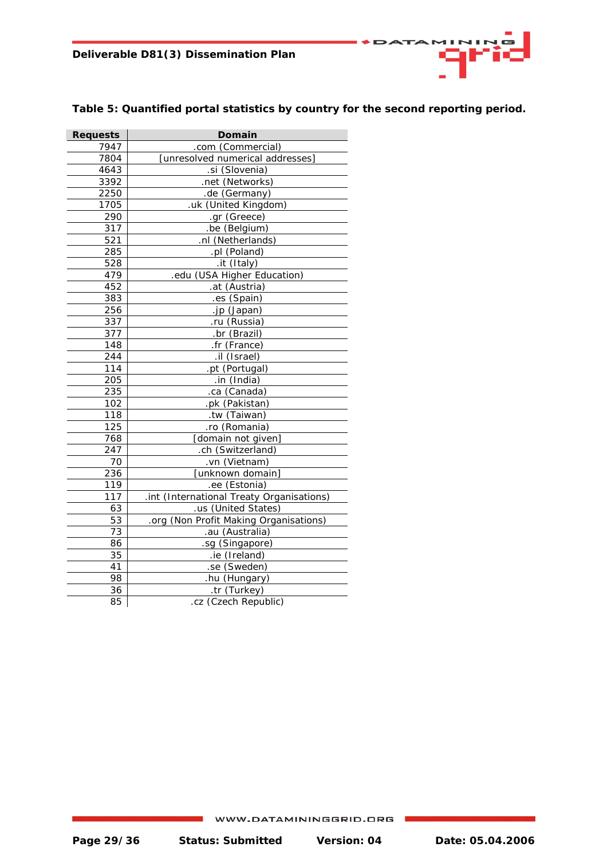

#### **Table 5: Quantified portal statistics by country for the second reporting period.**

| <b>Requests</b> | Domain                                    |
|-----------------|-------------------------------------------|
| 7947            | .com (Commercial)                         |
| 7804            | [unresolved numerical addresses]          |
| 4643            | .si (Slovenia)                            |
| 3392            | .net (Networks)                           |
| 2250            | .de (Germany)                             |
| 1705            | .uk (United Kingdom)                      |
| 290             | .gr (Greece)                              |
| 317             | .be (Belgium)                             |
| 521             | .nl (Netherlands)                         |
| 285             | .pl (Poland)                              |
| 528             | .it (Italy)                               |
| 479             | .edu (USA Higher Education)               |
| 452             | .at (Austria)                             |
| 383             | .es (Spain)                               |
| 256             | .jp (Japan)                               |
| 337             | .ru (Russia)                              |
| 377             | .br (Brazil)                              |
| 148             | .fr (France)                              |
| 244             | .il (Israel)                              |
| 114             | .pt (Portugal)                            |
| 205             | .in (India)                               |
| 235             | .ca (Canada)                              |
| 102             | .pk (Pakistan)                            |
| 118             | .tw (Taiwan)                              |
| 125             | .ro (Romania)                             |
| 768             | [domain not given]                        |
| 247             | .ch (Switzerland)                         |
| 70              | .vn (Vietnam)                             |
| 236             | [unknown domain]                          |
| 119             | .ee (Estonia)                             |
| 117             | .int (International Treaty Organisations) |
| 63              | .us (United States)                       |
| 53              | .org (Non Profit Making Organisations)    |
| 73              | .au (Australia)                           |
| 86              | .sg (Singapore)                           |
| 35              | .ie (Ireland)                             |
| 41              | .se (Sweden)                              |
| 98              | .hu (Hungary)                             |
| 36              | .tr (Turkey)                              |
| 85              | .cz (Czech Republic)                      |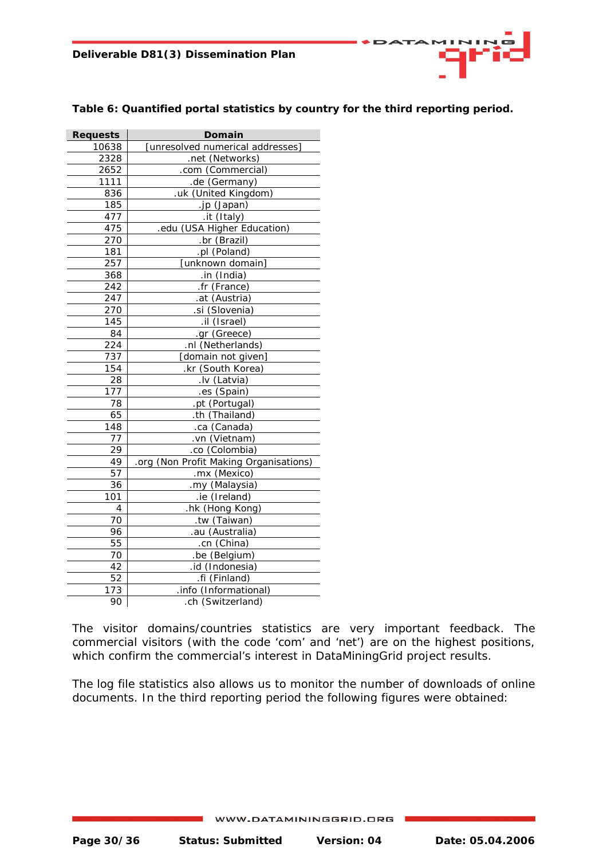| <b>SDATAMINING</b> |  |  |
|--------------------|--|--|
|                    |  |  |

| <b>Requests</b> | Domain                                 |  |
|-----------------|----------------------------------------|--|
| 10638           | [unresolved numerical addresses]       |  |
| 2328            | .net (Networks)                        |  |
| 2652            | .com (Commercial)                      |  |
| 1111            | .de (Germany)                          |  |
| 836             | .uk (United Kingdom)                   |  |
| 185             | .jp (Japan)                            |  |
| 477             | .it (Italy)                            |  |
| 475             | .edu (USA Higher Education)            |  |
| 270             | .br (Brazil)                           |  |
| 181             | .pl (Poland)                           |  |
| 257             | [unknown domain]                       |  |
| 368             | .in (India)                            |  |
| 242             | .fr (France)                           |  |
| 247             | .at (Austria)                          |  |
| 270             | .si (Slovenia)                         |  |
| 145             | .il (Israel)                           |  |
| 84              | .gr (Greece)                           |  |
| 224             | .nl (Netherlands)                      |  |
| 737             | [domain not given]                     |  |
| 154             | .kr (South Korea)                      |  |
| 28              | .lv (Latvia)                           |  |
| 177             | .es (Spain)                            |  |
| 78              | .pt (Portugal)                         |  |
| 65              | .th (Thailand)                         |  |
| 148             | .ca (Canada)                           |  |
| 77              | .vn (Vietnam)                          |  |
| 29              | .co (Colombia)                         |  |
| 49              | .org (Non Profit Making Organisations) |  |
| 57              | .mx (Mexico)                           |  |
| 36              | .my (Malaysia)                         |  |
| 101             | .ie (Ireland)                          |  |
| 4               | .hk (Hong Kong)                        |  |
| 70              | .tw (Taiwan)                           |  |
| 96              | .au (Australia)                        |  |
| 55              | .cn (China)                            |  |
| 70              | .be (Belgium)                          |  |
| 42              | .id (Indonesia)                        |  |
| 52              | .fi (Finland)                          |  |
| 173             | .info (Informational)                  |  |
| 90              | .ch (Switzerland)                      |  |

#### **Table 6: Quantified portal statistics by country for the third reporting period.**

The visitor domains/countries statistics are very important feedback. The commercial visitors (with the code 'com' and 'net') are on the highest positions, which confirm the commercial's interest in DataMiningGrid project results.

The log file statistics also allows us to monitor the number of downloads of online documents. In the third reporting period the following figures were obtained: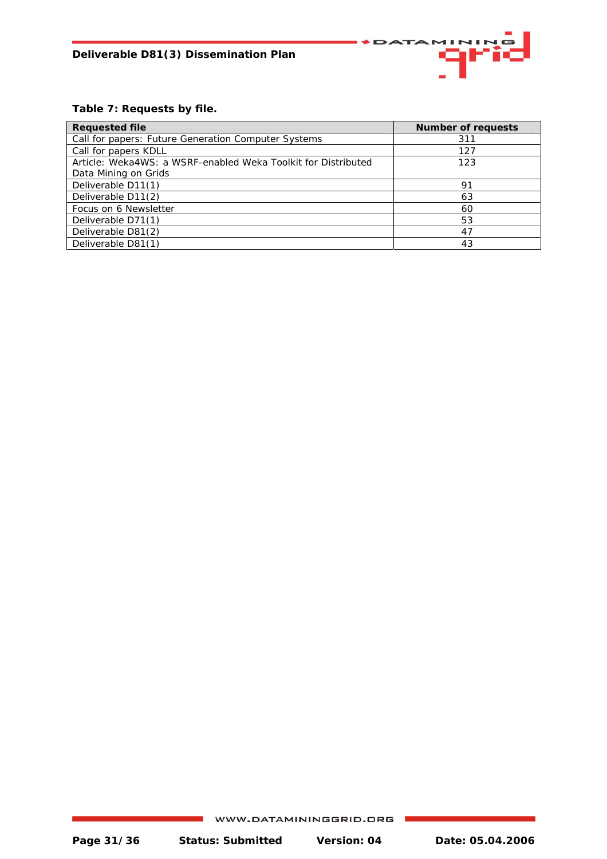

#### **Table 7: Requests by file.**

| <b>Requested file</b>                                         | <b>Number of requests</b> |
|---------------------------------------------------------------|---------------------------|
| Call for papers: Future Generation Computer Systems           | 311                       |
| Call for papers KDLL                                          | 127                       |
| Article: Weka4WS: a WSRF-enabled Weka Toolkit for Distributed | 123                       |
| Data Mining on Grids                                          |                           |
| Deliverable D11(1)                                            | 91                        |
| Deliverable D11(2)                                            | 63                        |
| Focus on 6 Newsletter                                         | 60                        |
| Deliverable D71(1)                                            | 53                        |
| Deliverable D81(2)                                            | 47                        |
| Deliverable D81(1)                                            | 43                        |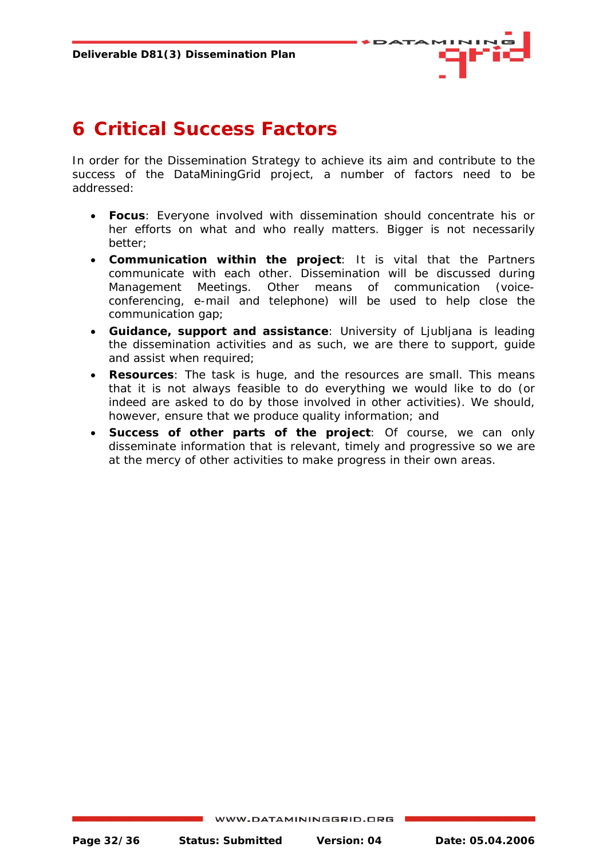

## <span id="page-31-0"></span>**6 Critical Success Factors**

In order for the Dissemination Strategy to achieve its aim and contribute to the success of the DataMiningGrid project, a number of factors need to be addressed:

- **Focus**: Everyone involved with dissemination should concentrate his or her efforts on what and who really matters. Bigger is not necessarily better;
- **Communication within the project**: It is vital that the Partners communicate with each other. Dissemination will be discussed during Management Meetings. Other means of communication (voiceconferencing, e-mail and telephone) will be used to help close the communication gap;
- **Guidance, support and assistance**: University of Ljubljana is leading the dissemination activities and as such, we are there to support, guide and assist when required;
- **Resources**: The task is huge, and the resources are small. This means that it is not always feasible to do everything we would like to do (or indeed are asked to do by those involved in other activities). We should, however, ensure that we produce quality information; and
- **Success of other parts of the project**: Of course, we can only disseminate information that is relevant, timely and progressive so we are at the mercy of other activities to make progress in their own areas.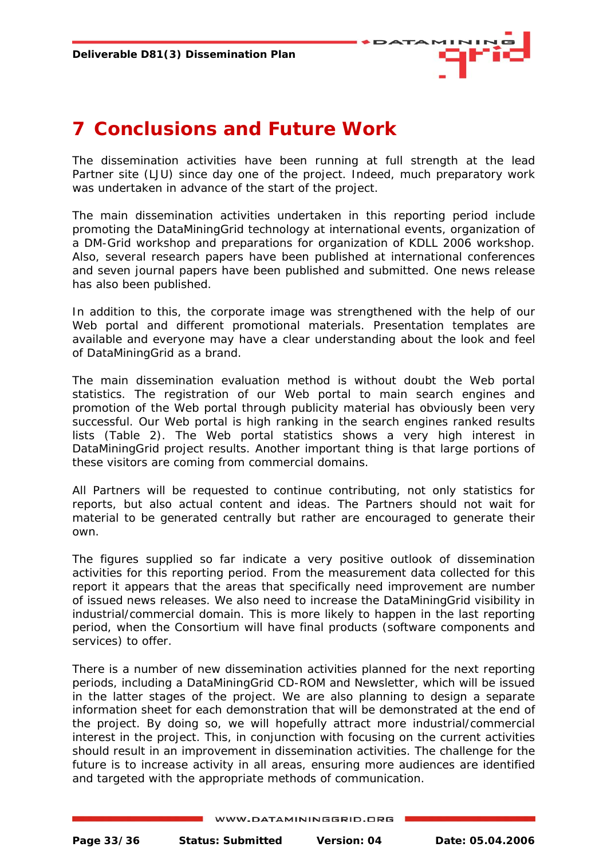

## <span id="page-32-0"></span>**7 Conclusions and Future Work**

The dissemination activities have been running at full strength at the lead Partner site (LJU) since day one of the project. Indeed, much preparatory work was undertaken in advance of the start of the project.

The main dissemination activities undertaken in this reporting period include promoting the DataMiningGrid technology at international events, organization of a DM-Grid workshop and preparations for organization of KDLL 2006 workshop. Also, several research papers have been published at international conferences and seven journal papers have been published and submitted. One news release has also been published.

In addition to this, the corporate image was strengthened with the help of our Web portal and different promotional materials. Presentation templates are available and everyone may have a clear understanding about the look and feel of DataMiningGrid as a brand.

The main dissemination evaluation method is without doubt the Web portal statistics. The registration of our Web portal to main search engines and promotion of the Web portal through publicity material has obviously been very successful. Our Web portal is high ranking in the search engines ranked results lists (Table 2). The Web portal statistics shows a very high interest in DataMiningGrid project results. Another important thing is that large portions of these visitors are coming from commercial domains.

All Partners will be requested to continue contributing, not only statistics for reports, but also actual content and ideas. The Partners should not wait for material to be generated centrally but rather are encouraged to generate their own.

The figures supplied so far indicate a very positive outlook of dissemination activities for this reporting period. From the measurement data collected for this report it appears that the areas that specifically need improvement are number of issued news releases. We also need to increase the DataMiningGrid visibility in industrial/commercial domain. This is more likely to happen in the last reporting period, when the Consortium will have final products (software components and services) to offer.

There is a number of new dissemination activities planned for the next reporting periods, including a DataMiningGrid CD-ROM and Newsletter, which will be issued in the latter stages of the project. We are also planning to design a separate information sheet for each demonstration that will be demonstrated at the end of the project. By doing so, we will hopefully attract more industrial/commercial interest in the project. This, in conjunction with focusing on the current activities should result in an improvement in dissemination activities. The challenge for the future is to increase activity in all areas, ensuring more audiences are identified and targeted with the appropriate methods of communication.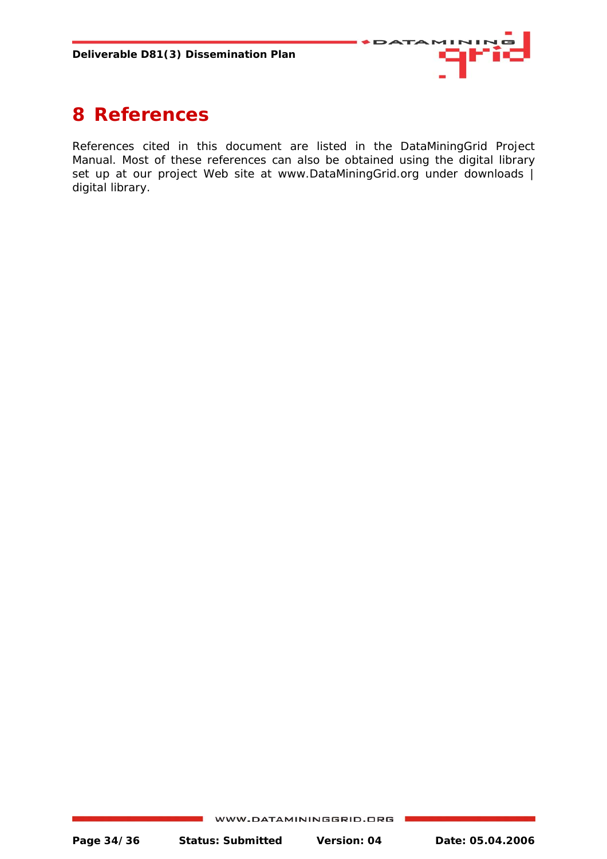

## <span id="page-33-0"></span>**8 References**

References cited in this document are listed in the DataMiningGrid Project Manual. Most of these references can also be obtained using the digital library set up at our project Web site at www.DataMiningGrid.org under downloads | digital library.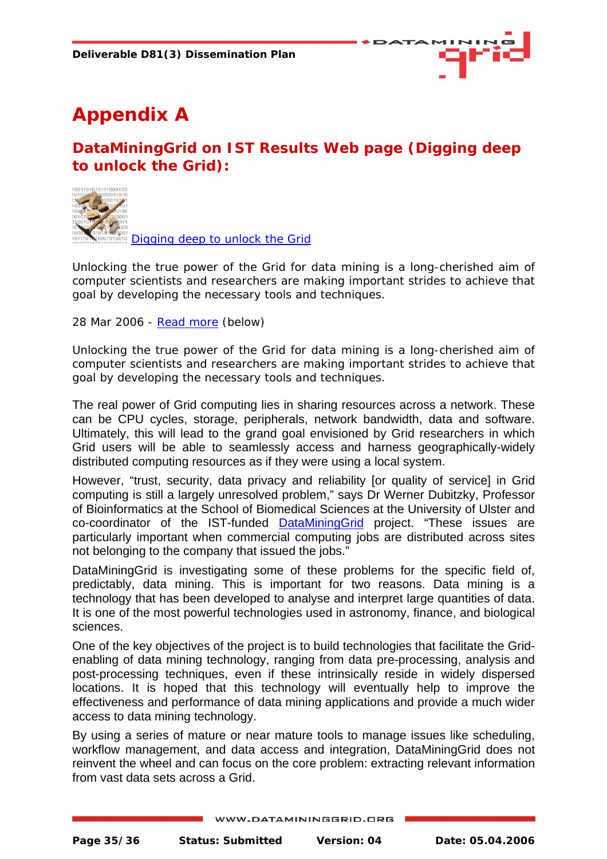

# <span id="page-34-0"></span>**Appendix A**

## **DataMiningGrid on IST Results Web page (Digging deep to unlock the Grid):**



[Digging deep to unlock the Grid](http://istresults.cordis.europa.eu.int/index.cfm/section/news/tpl/article/BrowsingType/Features/ID/81244) 

Unlocking the true power of the Grid for data mining is a long-cherished aim of computer scientists and researchers are making important strides to achieve that goal by developing the necessary tools and techniques.

28 Mar 2006 - [Read more](http://istresults.cordis.europa.eu.int/index.cfm/section/news/tpl/article/BrowsingType/Features/ID/81244) (below)

Unlocking the true power of the Grid for data mining is a long-cherished aim of computer scientists and researchers are making important strides to achieve that goal by developing the necessary tools and techniques.

The real power of Grid computing lies in sharing resources across a network. These can be CPU cycles, storage, peripherals, network bandwidth, data and software. Ultimately, this will lead to the grand goal envisioned by Grid researchers in which Grid users will be able to seamlessly access and harness geographically-widely distributed computing resources as if they were using a local system.

However, "trust, security, data privacy and reliability [or quality of service] in Grid computing is still a largely unresolved problem," says Dr Werner Dubitzky, Professor of Bioinformatics at the School of Biomedical Sciences at the University of Ulster and co-coordinator of the IST-funded [DataMiningGrid](http://www.datamininggrid.org/) project. "These issues are particularly important when commercial computing jobs are distributed across sites not belonging to the company that issued the jobs."

DataMiningGrid is investigating some of these problems for the specific field of, predictably, data mining. This is important for two reasons. Data mining is a technology that has been developed to analyse and interpret large quantities of data. It is one of the most powerful technologies used in astronomy, finance, and biological sciences.

One of the key objectives of the project is to build technologies that facilitate the Gridenabling of data mining technology, ranging from data pre-processing, analysis and post-processing techniques, even if these intrinsically reside in widely dispersed locations. It is hoped that this technology will eventually help to improve the effectiveness and performance of data mining applications and provide a much wider access to data mining technology.

By using a series of mature or near mature tools to manage issues like scheduling, workflow management, and data access and integration, DataMiningGrid does not reinvent the wheel and can focus on the core problem: extracting relevant information from vast data sets across a Grid.